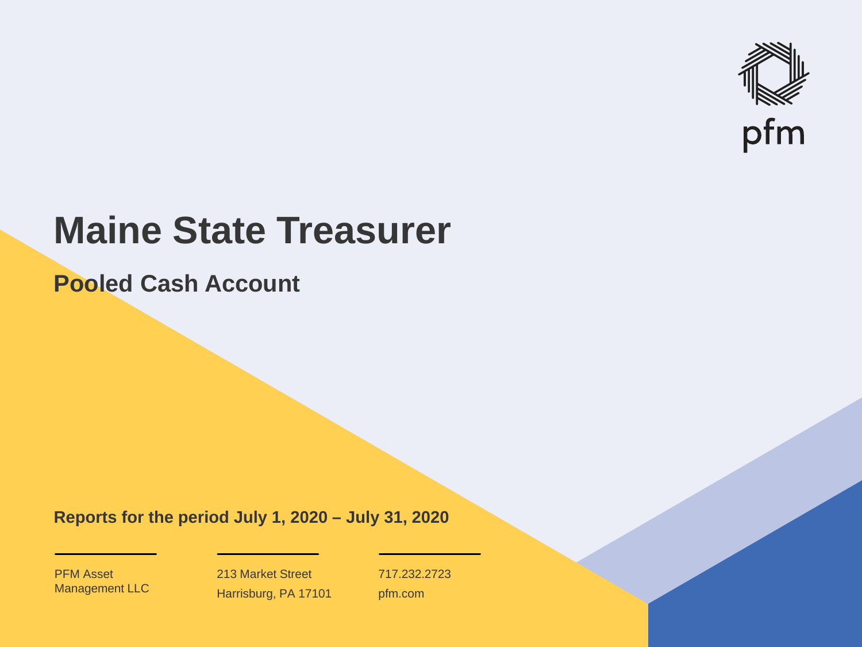

# **Maine State Treasurer**

**Pooled Cash Account**

**Reports for the period July 1, 2020 – July 31, 2020**

PFM Asset Management LLC

213 Market Street Harrisburg, PA 17101 717.232.2723 pfm.com

 $\mathcal{P}_\text{max}$  and  $\mathcal{P}_\text{max}$  is the probability of  $\mathcal{P}_\text{max}$  and  $\mathcal{P}_\text{max}$  and  $\mathcal{P}_\text{max}$  and  $\mathcal{P}_\text{max}$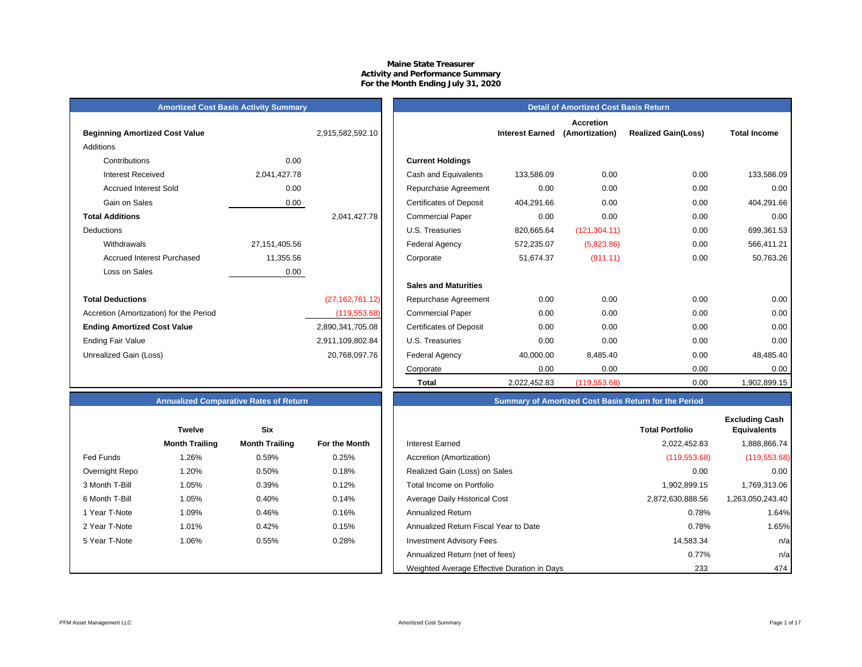## **Maine State Treasurer Activity and Performance Summary For the Month Ending July 31, 2020**

## **Amortized Cost Basis Activity Summary**<br> **Amortized Cost Basis Return**

| <b>Beginning Amortized Cost Value</b>   |                 | 2,915,582,592.10  |                                | <b>Interest Earned</b> |
|-----------------------------------------|-----------------|-------------------|--------------------------------|------------------------|
| Additions                               |                 |                   |                                |                        |
| Contributions                           | 0.00            |                   | <b>Current Holdings</b>        |                        |
| Interest Received                       | 2,041,427.78    |                   | Cash and Equivalents           | 133,586.09             |
| <b>Accrued Interest Sold</b>            | 0.00            |                   | Repurchase Agreement           | 0.00                   |
| Gain on Sales                           | 0.00            |                   | <b>Certificates of Deposit</b> | 404,291.66             |
| <b>Total Additions</b>                  |                 | 2,041,427.78      | <b>Commercial Paper</b>        | 0.00                   |
| Deductions                              |                 |                   | U.S. Treasuries                | 820,665.64             |
| Withdrawals                             | 27, 151, 405.56 |                   | Federal Agency                 | 572,235.07             |
| Accrued Interest Purchased              | 11,355.56       |                   | Corporate                      | 51,674.37              |
| Loss on Sales                           | 0.00            |                   |                                |                        |
|                                         |                 |                   | <b>Sales and Maturities</b>    |                        |
| <b>Total Deductions</b>                 |                 | (27, 162, 761.12) | Repurchase Agreement           | 0.00                   |
| Accretion (Amortization) for the Period |                 | (119, 553.68)     | <b>Commercial Paper</b>        | 0.00                   |
| <b>Ending Amortized Cost Value</b>      |                 | 2,890,341,705.08  | <b>Certificates of Deposit</b> | 0.00                   |
| <b>Ending Fair Value</b>                |                 | 2,911,109,802.84  | U.S. Treasuries                | 0.00                   |
| Unrealized Gain (Loss)                  |                 | 20,768,097.76     | Federal Agency                 | 40,000.00              |
|                                         |                 |                   |                                |                        |

|                                         |                 |                   |                                |                        | <b>Accretion</b> |                            |                     |
|-----------------------------------------|-----------------|-------------------|--------------------------------|------------------------|------------------|----------------------------|---------------------|
| <b>Beginning Amortized Cost Value</b>   |                 | 2,915,582,592.10  |                                | <b>Interest Earned</b> | (Amortization)   | <b>Realized Gain(Loss)</b> | <b>Total Income</b> |
| Additions                               |                 |                   |                                |                        |                  |                            |                     |
| Contributions                           | 0.00            |                   | <b>Current Holdings</b>        |                        |                  |                            |                     |
| <b>Interest Received</b>                | 2,041,427.78    |                   | Cash and Equivalents           | 133,586.09             | 0.00             | 0.00                       | 133,586.09          |
| <b>Accrued Interest Sold</b>            | 0.00            |                   | Repurchase Agreement           | 0.00                   | 0.00             | 0.00                       | 0.00                |
| Gain on Sales                           | 0.00            |                   | <b>Certificates of Deposit</b> | 404,291.66             | 0.00             | 0.00                       | 404,291.66          |
| <b>Total Additions</b>                  |                 | 2,041,427.78      | <b>Commercial Paper</b>        | 0.00                   | 0.00             | 0.00                       | 0.00                |
| Deductions                              |                 |                   | U.S. Treasuries                | 820,665.64             | (121, 304.11)    | 0.00                       | 699,361.53          |
| Withdrawals                             | 27, 151, 405.56 |                   | <b>Federal Agency</b>          | 572,235.07             | (5,823.86)       | 0.00                       | 566,411.21          |
| <b>Accrued Interest Purchased</b>       | 11,355.56       |                   | Corporate                      | 51,674.37              | (911.11)         | 0.00                       | 50,763.26           |
| Loss on Sales                           | 0.00            |                   |                                |                        |                  |                            |                     |
|                                         |                 |                   | <b>Sales and Maturities</b>    |                        |                  |                            |                     |
| <b>Total Deductions</b>                 |                 | (27, 162, 761.12) | Repurchase Agreement           | 0.00                   | 0.00             | 0.00                       | 0.00                |
| Accretion (Amortization) for the Period |                 | (119, 553.68)     | <b>Commercial Paper</b>        | 0.00                   | 0.00             | 0.00                       | 0.00                |
| <b>Ending Amortized Cost Value</b>      |                 | 2,890,341,705.08  | <b>Certificates of Deposit</b> | 0.00                   | 0.00             | 0.00                       | 0.00                |
| Ending Fair Value                       |                 | 2,911,109,802.84  | U.S. Treasuries                | 0.00                   | 0.00             | 0.00                       | 0.00                |
| Unrealized Gain (Loss)                  |                 | 20,768,097.76     | <b>Federal Agency</b>          | 40,000.00              | 8,485.40         | 0.00                       | 48,485.40           |
|                                         |                 |                   | Corporate                      | 0.00                   | 0.00             | 0.00                       | 0.00                |
|                                         |                 |                   | Total                          | 2,022,452.83           | (119, 553.68)    | 0.00                       | 1,902,899.15        |

## **Annualized Comparative Rates of Return Summary of Amortized Cost Basis Return for the Period**

|                | <b>Twelve</b>         | <b>Six</b>            |               |
|----------------|-----------------------|-----------------------|---------------|
|                | <b>Month Trailing</b> | <b>Month Trailing</b> | For the Month |
| Fed Funds      | 1.26%                 | 0.59%                 | 0.25%         |
| Overnight Repo | 1.20%                 | 0.50%                 | 0.18%         |
| 3 Month T-Bill | 1.05%                 | 0.39%                 | 0.12%         |
| 6 Month T-Bill | 1.05%                 | 0.40%                 | 0.14%         |
| 1 Year T-Note  | 1.09%                 | 0.46%                 | 0.16%         |
| 2 Year T-Note  | 1.01%                 | 0.42%                 | 0.15%         |
| 5 Year T-Note  | 1.06%                 | 0.55%                 | 0.28%         |
|                |                       |                       |               |
|                |                       |                       |               |

|                | <b>Twelve</b>         | <b>Six</b>            |               |                                             | <b>Total Portfolio</b> |
|----------------|-----------------------|-----------------------|---------------|---------------------------------------------|------------------------|
|                | <b>Month Trailing</b> | <b>Month Trailing</b> | For the Month | Interest Earned                             | 2,022,452.83           |
| Fed Funds      | $1.26\%$              | 0.59%                 | 0.25%         | Accretion (Amortization)                    | (119, 553.68)          |
| Overnight Repo | 1.20%                 | 0.50%                 | 0.18%         | Realized Gain (Loss) on Sales               | 0.00                   |
| 3 Month T-Bill | 1.05%                 | 0.39%                 | 0.12%         | Total Income on Portfolio                   | 1,902,899.15           |
| 6 Month T-Bill | 1.05%                 | 0.40%                 | 0.14%         | Average Daily Historical Cost               | 2,872,630,888.56       |
| 1 Year T-Note  | 1.09%                 | 0.46%                 | 0.16%         | <b>Annualized Return</b>                    | 0.78%                  |
| 2 Year T-Note  | 1.01%                 | 0.42%                 | 0.15%         | Annualized Return Fiscal Year to Date       | 0.78%                  |
| 5 Year T-Note  | 1.06%                 | 0.55%                 | 0.28%         | <b>Investment Advisory Fees</b>             | 14,583.34              |
|                |                       |                       |               | Annualized Return (net of fees)             | 0.77%                  |
|                |                       |                       |               | Weighted Average Effective Duration in Days | 233                    |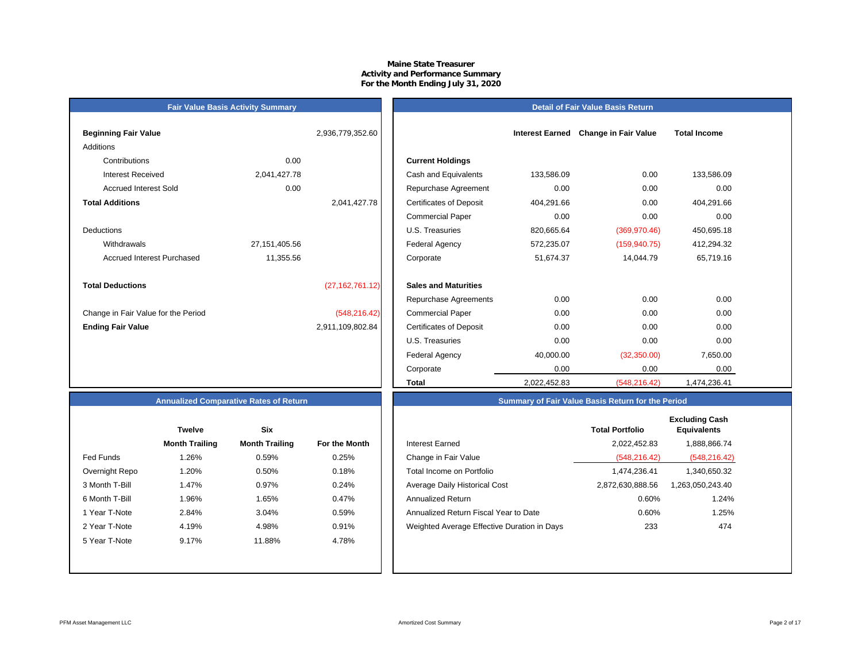## **Maine State TreasurerActivity and Performance Summary For the Month Ending July 31, 2020**

## **Beginning Fair Value Interest Earned** *Change in Earned 2,936,779,352.60* Additions Contributions 0.00Accrued Interest Sold 0.00 **Total Additions**DeductionsAccrued Interest Purchased 11,355.56 **Total Deductions** (27,162,761.12) **Sales and Maturities** Change in Fair Value for the Period (548,216.42) **Ending Fair Value** 2,911,109,802.84

**Fair Value Basis Activity Summary**

| ning Fair Value                   |                 | 2,936,779,352.60  |                                | <b>Interest Earned</b> | <b>Change in Fair Value</b> | <b>Total Income</b> |  |
|-----------------------------------|-----------------|-------------------|--------------------------------|------------------------|-----------------------------|---------------------|--|
| ons                               |                 |                   |                                |                        |                             |                     |  |
| Contributions                     | 0.00            |                   | <b>Current Holdings</b>        |                        |                             |                     |  |
| <b>Interest Received</b>          | 2,041,427.78    |                   | Cash and Equivalents           | 133,586.09             | 0.00                        | 133,586.09          |  |
| <b>Accrued Interest Sold</b>      | 0.00            |                   | Repurchase Agreement           | 0.00                   | 0.00                        | 0.00                |  |
| <b>Additions</b>                  |                 | 2,041,427.78      | <b>Certificates of Deposit</b> | 404,291.66             | 0.00                        | 404,291.66          |  |
|                                   |                 |                   | <b>Commercial Paper</b>        | 0.00                   | 0.00                        | 0.00                |  |
| ctions                            |                 |                   | U.S. Treasuries                | 820,665.64             | (369, 970.46)               | 450,695.18          |  |
| Withdrawals                       | 27, 151, 405.56 |                   | Federal Agency                 | 572,235.07             | (159, 940.75)               | 412,294.32          |  |
| <b>Accrued Interest Purchased</b> | 11,355.56       |                   | Corporate                      | 51,674.37              | 14,044.79                   | 65,719.16           |  |
| <b>Deductions</b>                 |                 | (27, 162, 761.12) | <b>Sales and Maturities</b>    |                        |                             |                     |  |
|                                   |                 |                   | Repurchase Agreements          | 0.00                   | 0.00                        | 0.00                |  |
| ge in Fair Value for the Period   |                 | (548, 216.42)     | <b>Commercial Paper</b>        | 0.00                   | 0.00                        | 0.00                |  |
| g Fair Value                      |                 | 2,911,109,802.84  | <b>Certificates of Deposit</b> | 0.00                   | 0.00                        | 0.00                |  |
|                                   |                 |                   | U.S. Treasuries                | 0.00                   | 0.00                        | 0.00                |  |
|                                   |                 |                   | Federal Agency                 | 40,000.00              | (32,350.00)                 | 7,650.00            |  |
|                                   |                 |                   | Corporate                      | 0.00                   | 0.00                        | 0.00                |  |
|                                   |                 |                   | Total                          | 2,022,452.83           | (548, 216.42)               | 1,474,236.41        |  |

**Detail of Fair Value Basis Return**

## **Annualized Comparative Rates of Return**

|                | <b>Twelve</b>         | Six                   |                      |
|----------------|-----------------------|-----------------------|----------------------|
|                | <b>Month Trailing</b> | <b>Month Trailing</b> | <b>For the Month</b> |
| Fed Funds      | 1.26%                 | 0.59%                 | 0.25%                |
| Overnight Repo | 1.20%                 | 0.50%                 | 0.18%                |
| 3 Month T-Bill | 1.47%                 | 0.97%                 | 0.24%                |
| 6 Month T-Bill | 1.96%                 | 1.65%                 | 0.47%                |
| 1 Year T-Note  | 2.84%                 | 3.04%                 | 0.59%                |
| 2 Year T-Note  | 4.19%                 | 4.98%                 | 0.91%                |
| 5 Year T-Note  | 9.17%                 | 11.88%                | 4.78%                |
|                |                       |                       |                      |
|                |                       |                       |                      |

|                | Twelve                | <b>Six</b>            |               |                                             | <b>Total Portfolio</b> | <b>Excluding Cash</b><br><b>Equivalents</b> |
|----------------|-----------------------|-----------------------|---------------|---------------------------------------------|------------------------|---------------------------------------------|
|                | <b>Month Trailing</b> | <b>Month Trailing</b> | For the Month | <b>Interest Earned</b>                      | 2,022,452.83           | 1,888,866.74                                |
| Fed Funds      | 1.26%                 | 0.59%                 | 0.25%         | Change in Fair Value                        | (548.216.42)           | (548, 216.42)                               |
| Overnight Repo | 1.20%                 | 0.50%                 | 0.18%         | Total Income on Portfolio                   | 1.474.236.41           | 1,340,650.32                                |
| 3 Month T-Bill | 1.47%                 | 0.97%                 | 0.24%         | Average Daily Historical Cost               | 2,872,630,888.56       | 1,263,050,243.40                            |
| 6 Month T-Bill | l.96%                 | 1.65%                 | 0.47%         | <b>Annualized Return</b>                    | 0.60%                  | 1.24%                                       |
| 1 Year T-Note  | 2.84%                 | 3.04%                 | 0.59%         | Annualized Return Fiscal Year to Date       | 0.60%                  | 1.25%                                       |
| 2 Year T-Note  | 4.19%                 | 4.98%                 | 0.91%         | Weighted Average Effective Duration in Days | 233                    | 474                                         |
| 5 Year T-Note  | 9.17%                 | 11.88%                | 4.78%         |                                             |                        |                                             |
|                |                       |                       |               |                                             |                        |                                             |

**Summary of Fair Value Basis Return for the Period**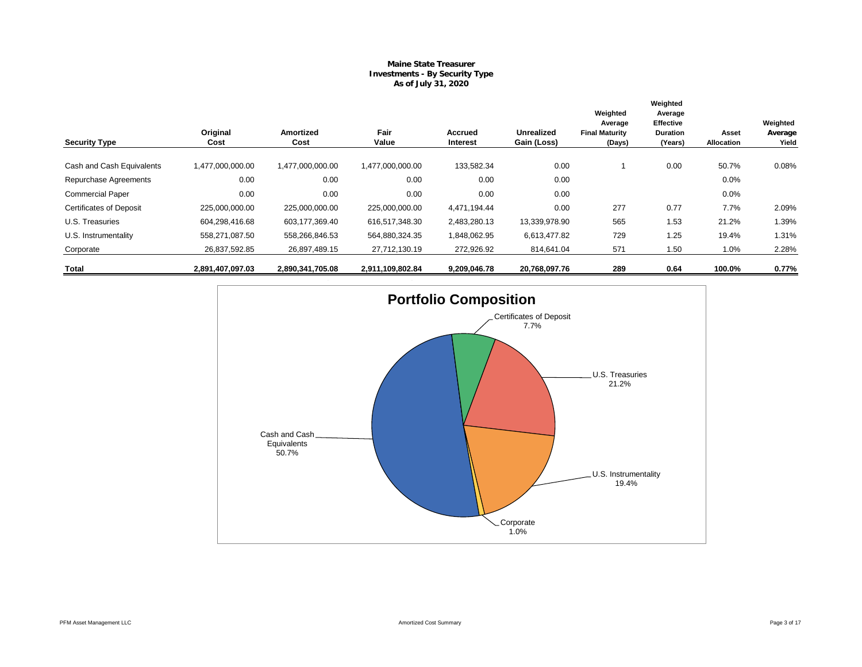## **Maine State Treasurer Investments - By Security Type As of July 31, 2020**

|                                |                  |                          |                  |                     |                                  | Weighted                                   | Weighted<br>Average                            |                     |                              |
|--------------------------------|------------------|--------------------------|------------------|---------------------|----------------------------------|--------------------------------------------|------------------------------------------------|---------------------|------------------------------|
| <b>Security Type</b>           | Original<br>Cost | <b>Amortized</b><br>Cost | Fair<br>Value    | Accrued<br>Interest | <b>Unrealized</b><br>Gain (Loss) | Average<br><b>Final Maturity</b><br>(Days) | <b>Effective</b><br><b>Duration</b><br>(Years) | Asset<br>Allocation | Weighted<br>Average<br>Yield |
| Cash and Cash Equivalents      | 1,477,000,000.00 | 1,477,000,000.00         | 1,477,000,000.00 | 133,582.34          | 0.00                             |                                            | 0.00                                           | 50.7%               | 0.08%                        |
| Repurchase Agreements          | 0.00             | 0.00                     | 0.00             | 0.00                | 0.00                             |                                            |                                                | 0.0%                |                              |
| <b>Commercial Paper</b>        | 0.00             | 0.00                     | 0.00             | 0.00                | 0.00                             |                                            |                                                | 0.0%                |                              |
| <b>Certificates of Deposit</b> | 225,000,000.00   | 225,000,000.00           | 225,000,000.00   | 4,471,194.44        | 0.00                             | 277                                        | 0.77                                           | 7.7%                | 2.09%                        |
| U.S. Treasuries                | 604,298,416.68   | 603,177,369.40           | 616,517,348.30   | 2,483,280.13        | 13,339,978.90                    | 565                                        | 1.53                                           | 21.2%               | 1.39%                        |
| U.S. Instrumentality           | 558,271,087.50   | 558,266,846.53           | 564,880,324.35   | 1,848,062.95        | 6,613,477.82                     | 729                                        | 1.25                                           | 19.4%               | 1.31%                        |
| Corporate                      | 26,837,592.85    | 26,897,489.15            | 27,712,130.19    | 272,926.92          | 814,641.04                       | 571                                        | 1.50                                           | 1.0%                | 2.28%                        |
| Total                          | 2,891,407,097.03 | 2,890,341,705.08         | 2,911,109,802.84 | 9,209,046.78        | 20,768,097.76                    | 289                                        | 0.64                                           | 100.0%              | 0.77%                        |

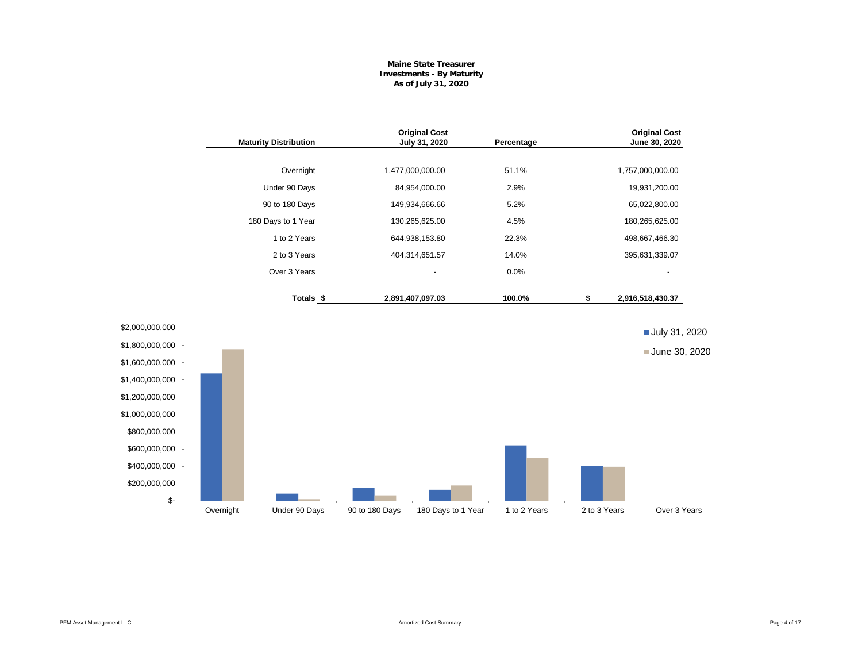## **Maine State Treasurer Investments - By Maturity As of July 31, 2020**

| 1,477,000,000.00<br>84,954,000.00<br>149,934,666.66<br>130,265,625.00<br>644,938,153.80<br>404,314,651.57 | 51.1%<br>1,757,000,000.00<br>2.9%<br>19,931,200.00<br>5.2%<br>65,022,800.00<br>4.5%<br>180,265,625.00<br>22.3%<br>498,667,466.30<br>14.0%<br>395,631,339.07 |
|-----------------------------------------------------------------------------------------------------------|-------------------------------------------------------------------------------------------------------------------------------------------------------------|
|                                                                                                           |                                                                                                                                                             |
|                                                                                                           |                                                                                                                                                             |
|                                                                                                           |                                                                                                                                                             |
|                                                                                                           |                                                                                                                                                             |
|                                                                                                           |                                                                                                                                                             |
|                                                                                                           |                                                                                                                                                             |
|                                                                                                           | 0.0%                                                                                                                                                        |
| 2,891,407,097.03                                                                                          | 100.0%<br>\$<br>2,916,518,430.37                                                                                                                            |
|                                                                                                           | July 31, 2020<br>June 30, 2020                                                                                                                              |
|                                                                                                           |                                                                                                                                                             |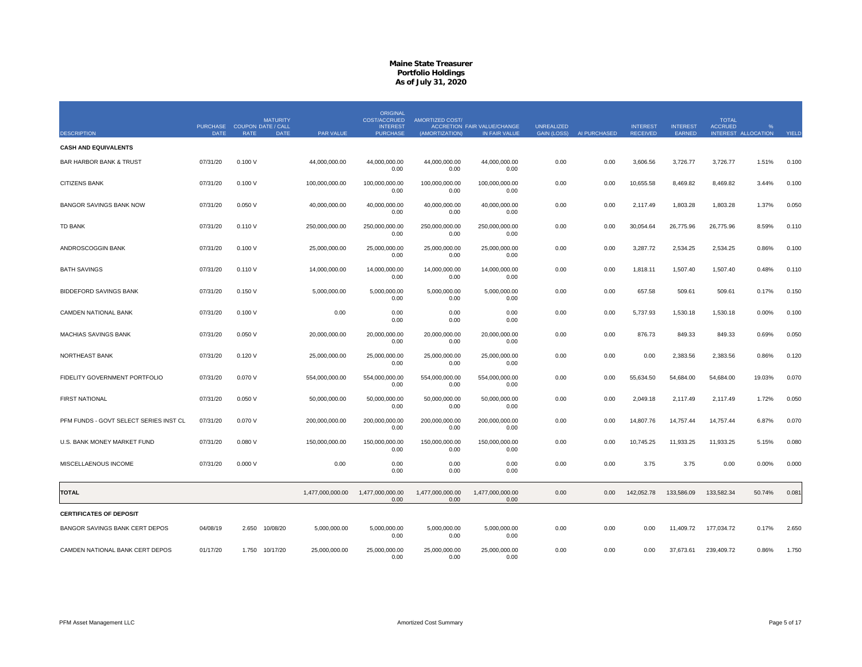|                                        | PURCHASE COUPON DATE / CALL |         | <b>MATURITY</b> |                  | <b>ORIGINAL</b><br>COST/ACCRUED<br><b>INTEREST</b> | AMORTIZED COST/          | <b>ACCRETION FAIR VALUE/CHANGE</b> | <b>UNREALIZED</b> |              | <b>INTEREST</b> | <b>INTEREST</b> | <b>TOTAL</b><br><b>ACCRUED</b> | $\frac{Q}{C}$       |       |
|----------------------------------------|-----------------------------|---------|-----------------|------------------|----------------------------------------------------|--------------------------|------------------------------------|-------------------|--------------|-----------------|-----------------|--------------------------------|---------------------|-------|
| <b>DESCRIPTION</b>                     | <b>DATE</b>                 | RATE    | <b>DATE</b>     | PAR VALUE        | <b>PURCHASE</b>                                    | (AMORTIZATION)           | IN FAIR VALUE                      | GAIN (LOSS)       | AI PURCHASED | <b>RECEIVED</b> | EARNED          |                                | INTEREST ALLOCATION | YIELD |
| <b>CASH AND EQUIVALENTS</b>            |                             |         |                 |                  |                                                    |                          |                                    |                   |              |                 |                 |                                |                     |       |
| <b>BAR HARBOR BANK &amp; TRUST</b>     | 07/31/20                    | 0.100V  |                 | 44,000,000.00    | 44,000,000.00<br>0.00                              | 44,000,000.00<br>0.00    | 44,000,000.00<br>0.00              | 0.00              | 0.00         | 3,606.56        | 3,726.77        | 3,726.77                       | 1.51%               | 0.100 |
| <b>CITIZENS BANK</b>                   | 07/31/20                    | 0.100V  |                 | 100,000,000.00   | 100,000,000.00<br>0.00                             | 100,000,000.00<br>0.00   | 100,000,000.00<br>0.00             | 0.00              | 0.00         | 10,655.58       | 8,469.82        | 8,469.82                       | 3.44%               | 0.100 |
| <b>BANGOR SAVINGS BANK NOW</b>         | 07/31/20                    | 0.050V  |                 | 40,000,000.00    | 40,000,000.00<br>0.00                              | 40,000,000.00<br>0.00    | 40,000,000.00<br>0.00              | 0.00              | 0.00         | 2,117.49        | 1,803.28        | 1,803.28                       | 1.37%               | 0.050 |
| <b>TD BANK</b>                         | 07/31/20                    | 0.110V  |                 | 250,000,000.00   | 250,000,000.00<br>0.00                             | 250,000,000.00<br>0.00   | 250,000,000.00<br>0.00             | 0.00              | 0.00         | 30,054.64       | 26,775.96       | 26,775.96                      | 8.59%               | 0.110 |
| ANDROSCOGGIN BANK                      | 07/31/20                    | 0.100V  |                 | 25,000,000.00    | 25,000,000.00<br>0.00                              | 25,000,000.00<br>0.00    | 25,000,000.00<br>0.00              | 0.00              | 0.00         | 3,287.72        | 2,534.25        | 2,534.25                       | 0.86%               | 0.100 |
| <b>BATH SAVINGS</b>                    | 07/31/20                    | 0.110V  |                 | 14,000,000.00    | 14,000,000.00<br>0.00                              | 14,000,000.00<br>0.00    | 14,000,000.00<br>0.00              | 0.00              | 0.00         | 1,818.11        | 1,507.40        | 1,507.40                       | 0.48%               | 0.110 |
| <b>BIDDEFORD SAVINGS BANK</b>          | 07/31/20                    | 0.150V  |                 | 5,000,000.00     | 5,000,000.00<br>0.00                               | 5,000,000.00<br>0.00     | 5,000,000.00<br>0.00               | 0.00              | 0.00         | 657.58          | 509.61          | 509.61                         | 0.17%               | 0.150 |
| CAMDEN NATIONAL BANK                   | 07/31/20                    | 0.100V  |                 | 0.00             | 0.00<br>0.00                                       | 0.00<br>0.00             | 0.00<br>0.00                       | 0.00              | 0.00         | 5,737.93        | 1,530.18        | 1,530.18                       | 0.00%               | 0.100 |
| <b>MACHIAS SAVINGS BANK</b>            | 07/31/20                    | 0.050V  |                 | 20,000,000.00    | 20,000,000.00<br>0.00                              | 20,000,000.00<br>0.00    | 20,000,000.00<br>0.00              | 0.00              | 0.00         | 876.73          | 849.33          | 849.33                         | 0.69%               | 0.050 |
| NORTHEAST BANK                         | 07/31/20                    | 0.120V  |                 | 25,000,000.00    | 25,000,000.00<br>0.00                              | 25,000,000.00<br>0.00    | 25,000,000.00<br>0.00              | 0.00              | 0.00         | 0.00            | 2,383.56        | 2,383.56                       | 0.86%               | 0.120 |
| FIDELITY GOVERNMENT PORTFOLIO          | 07/31/20                    | 0.070 V |                 | 554,000,000.00   | 554,000,000.00<br>0.00                             | 554,000,000.00<br>0.00   | 554,000,000.00<br>0.00             | 0.00              | 0.00         | 55,634.50       | 54,684.00       | 54,684.00                      | 19.03%              | 0.070 |
| <b>FIRST NATIONAL</b>                  | 07/31/20                    | 0.050V  |                 | 50,000,000.00    | 50,000,000.00<br>0.00                              | 50,000,000.00<br>0.00    | 50,000,000.00<br>0.00              | 0.00              | 0.00         | 2,049.18        | 2,117.49        | 2,117.49                       | 1.72%               | 0.050 |
| PFM FUNDS - GOVT SELECT SERIES INST CL | 07/31/20                    | 0.070V  |                 | 200,000,000.00   | 200,000,000.00<br>0.00                             | 200,000,000.00<br>0.00   | 200,000,000.00<br>0.00             | 0.00              | 0.00         | 14,807.76       | 14,757.44       | 14,757.44                      | 6.87%               | 0.070 |
| U.S. BANK MONEY MARKET FUND            | 07/31/20                    | 0.080V  |                 | 150,000,000.00   | 150,000,000.00<br>0.00                             | 150,000,000.00<br>0.00   | 150,000,000.00<br>0.00             | 0.00              | 0.00         | 10,745.25       | 11,933.25       | 11,933.25                      | 5.15%               | 0.080 |
| MISCELLAENOUS INCOME                   | 07/31/20                    | 0.000V  |                 | 0.00             | 0.00<br>0.00                                       | 0.00<br>0.00             | 0.00<br>0.00                       | 0.00              | 0.00         | 3.75            | 3.75            | 0.00                           | 0.00%               | 0.000 |
| <b>TOTAL</b>                           |                             |         |                 | 1,477,000,000.00 | 1,477,000,000.00<br>0.00                           | 1,477,000,000.00<br>0.00 | 1,477,000,000.00<br>0.00           | 0.00              | 0.00         | 142,052.78      | 133,586.09      | 133,582.34                     | 50.74%              | 0.081 |
| <b>CERTIFICATES OF DEPOSIT</b>         |                             |         |                 |                  |                                                    |                          |                                    |                   |              |                 |                 |                                |                     |       |
| BANGOR SAVINGS BANK CERT DEPOS         | 04/08/19                    | 2.650   | 10/08/20        | 5,000,000.00     | 5,000,000.00<br>0.00                               | 5,000,000.00<br>0.00     | 5,000,000.00<br>0.00               | 0.00              | 0.00         | 0.00            | 11,409.72       | 177,034.72                     | 0.17%               | 2.650 |
| CAMDEN NATIONAL BANK CERT DEPOS        | 01/17/20                    |         | 1.750 10/17/20  | 25,000,000.00    | 25,000,000.00<br>0.00                              | 25,000,000.00<br>0.00    | 25,000,000.00<br>0.00              | 0.00              | 0.00         | 0.00            | 37,673.61       | 239,409.72                     | 0.86%               | 1.750 |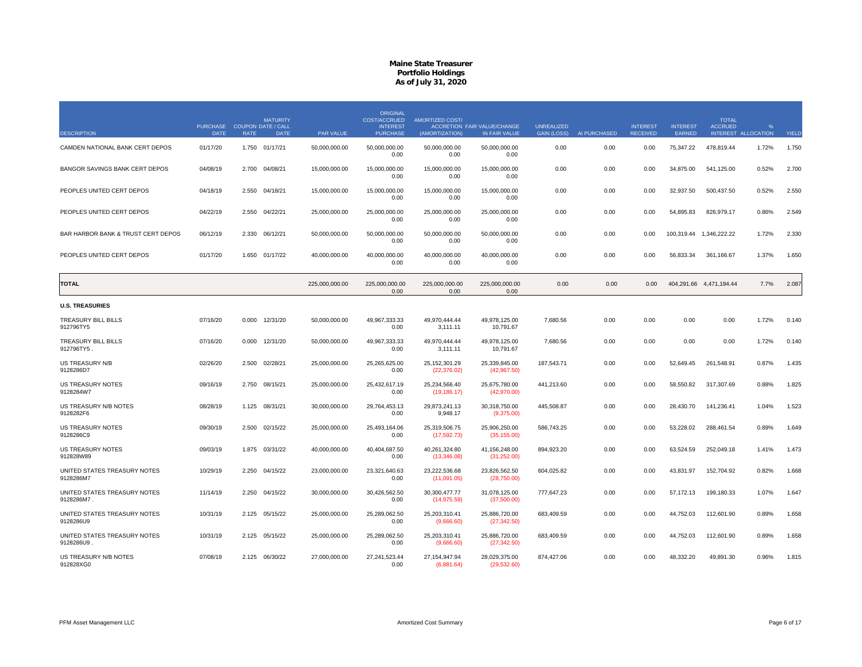|                                            |                                            |             | <b>MATURITY</b> |                | <b>ORIGINAL</b><br><b>COST/ACCRUED</b> | <b>AMORTIZED COST/</b>         |                                                     |                                         |              |                                    |                           | <b>TOTAL</b>            |                          |       |
|--------------------------------------------|--------------------------------------------|-------------|-----------------|----------------|----------------------------------------|--------------------------------|-----------------------------------------------------|-----------------------------------------|--------------|------------------------------------|---------------------------|-------------------------|--------------------------|-------|
| <b>DESCRIPTION</b>                         | PURCHASE COUPON DATE / CALL<br><b>DATE</b> | <b>RATE</b> | <b>DATE</b>     | PAR VALUE      | <b>INTEREST</b><br><b>PURCHASE</b>     | (AMORTIZATION)                 | <b>ACCRETION FAIR VALUE/CHANGE</b><br>IN FAIR VALUE | <b>UNREALIZED</b><br><b>GAIN (LOSS)</b> | AI PURCHASED | <b>INTEREST</b><br><b>RECEIVED</b> | <b>INTEREST</b><br>EARNED | <b>ACCRUED</b>          | %<br>INTEREST ALLOCATION | YIELD |
| CAMDEN NATIONAL BANK CERT DEPOS            | 01/17/20                                   |             | 1.750 01/17/21  | 50,000,000.00  | 50,000,000.00<br>0.00                  | 50,000,000.00<br>0.00          | 50,000,000.00<br>0.00                               | 0.00                                    | 0.00         | 0.00                               | 75,347.22                 | 478,819.44              | 1.72%                    | 1.750 |
| BANGOR SAVINGS BANK CERT DEPOS             | 04/08/19                                   | 2.700       | 04/08/21        | 15,000,000.00  | 15.000.000.00<br>0.00                  | 15.000.000.00<br>0.00          | 15.000.000.00<br>0.00                               | 0.00                                    | 0.00         | 0.00                               | 34,875.00                 | 541,125.00              | 0.52%                    | 2.700 |
| PEOPLES UNITED CERT DEPOS                  | 04/18/19                                   | 2.550       | 04/18/21        | 15,000,000.00  | 15,000,000.00<br>0.00                  | 15,000,000.00<br>0.00          | 15,000,000.00<br>0.00                               | 0.00                                    | 0.00         | 0.00                               | 32,937.50                 | 500,437.50              | 0.52%                    | 2.550 |
| PEOPLES UNITED CERT DEPOS                  | 04/22/19                                   | 2.550       | 04/22/21        | 25,000,000.00  | 25,000,000.00<br>0.00                  | 25,000,000.00<br>0.00          | 25,000,000.00<br>0.00                               | 0.00                                    | 0.00         | 0.00                               | 54,895.83                 | 826,979.17              | 0.86%                    | 2.549 |
| BAR HARBOR BANK & TRUST CERT DEPOS         | 06/12/19                                   | 2.330       | 06/12/21        | 50,000,000.00  | 50,000,000.00<br>0.00                  | 50,000,000.00<br>0.00          | 50,000,000.00<br>0.00                               | 0.00                                    | 0.00         | 0.00                               |                           | 100,319.44 1,346,222.22 | 1.72%                    | 2.330 |
| PEOPLES UNITED CERT DEPOS                  | 01/17/20                                   | 1.650       | 01/17/22        | 40,000,000.00  | 40.000.000.00<br>0.00                  | 40.000.000.00<br>0.00          | 40,000,000.00<br>0.00                               | 0.00                                    | 0.00         | 0.00                               | 56,833.34                 | 361.166.67              | 1.37%                    | 1.650 |
| <b>TOTAL</b>                               |                                            |             |                 | 225,000,000.00 | 225,000,000.00<br>0.00                 | 225,000,000.00<br>0.00         | 225,000,000.00<br>0.00                              | 0.00                                    | 0.00         | 0.00                               |                           | 404,291.66 4,471,194.44 | 7.7%                     | 2.087 |
| <b>U.S. TREASURIES</b>                     |                                            |             |                 |                |                                        |                                |                                                     |                                         |              |                                    |                           |                         |                          |       |
| TREASURY BILL BILLS<br>912796TY5           | 07/16/20                                   | 0.000       | 12/31/20        | 50,000,000.00  | 49,967,333.33<br>0.00                  | 49,970,444.44<br>3,111.11      | 49,978,125.00<br>10,791.67                          | 7,680.56                                | 0.00         | 0.00                               | 0.00                      | 0.00                    | 1.72%                    | 0.140 |
| TREASURY BILL BILLS<br>912796TY5           | 07/16/20                                   | 0.000       | 12/31/20        | 50,000,000.00  | 49,967,333.33<br>0.00                  | 49,970,444.44<br>3,111.11      | 49,978,125.00<br>10,791.67                          | 7,680.56                                | 0.00         | 0.00                               | 0.00                      | 0.00                    | 1.72%                    | 0.140 |
| US TREASURY N/B<br>9128286D7               | 02/26/20                                   | 2.500       | 02/28/21        | 25.000.000.00  | 25.265.625.00<br>0.00                  | 25.152.301.29<br>(22, 376.02)  | 25.339.845.00<br>(42,967.50)                        | 187,543.71                              | 0.00         | 0.00                               | 52.649.45                 | 261.548.91              | 0.87%                    | 1.435 |
| US TREASURY NOTES<br>9128284W7             | 09/16/19                                   | 2.750       | 08/15/21        | 25,000,000.00  | 25,432,617.19<br>0.00                  | 25,234,566.40<br>(19, 186.17)  | 25,675,780.00<br>(42,970.00)                        | 441,213.60                              | 0.00         | 0.00                               | 58,550.82                 | 317,307.69              | 0.88%                    | 1.825 |
| US TREASURY N/B NOTES<br>9128282F6         | 08/28/19                                   | 1.125       | 08/31/21        | 30,000,000.00  | 29,764,453.13<br>0.00                  | 29,873,241.13<br>9,948.17      | 30,318,750.00<br>(9,375.00)                         | 445,508.87                              | 0.00         | 0.00                               | 28,430.70                 | 141,236.41              | 1.04%                    | 1.523 |
| US TREASURY NOTES<br>9128286C9             | 09/30/19                                   | 2.500       | 02/15/22        | 25,000,000.00  | 25,493,164.06<br>0.00                  | 25,319,506.75<br>(17, 592.73)  | 25,906,250.00<br>(35, 155.00)                       | 586,743.25                              | 0.00         | 0.00                               | 53,228.02                 | 288,461.54              | 0.89%                    | 1.649 |
| <b>US TREASURY NOTES</b><br>912828W89      | 09/03/19                                   | 1.875       | 03/31/22        | 40,000,000.00  | 40.404.687.50<br>0.00                  | 40.261.324.80<br>(13,346.08)   | 41,156,248.00<br>(31,252.00)                        | 894,923.20                              | 0.00         | 0.00                               | 63.524.59                 | 252.049.18              | 1.41%                    | 1.473 |
| UNITED STATES TREASURY NOTES<br>9128286M7  | 10/29/19                                   | 2.250       | 04/15/22        | 23,000,000.00  | 23,321,640.63<br>0.00                  | 23,222,536.68<br>(11,091.05)   | 23,826,562.50<br>(28,750.00)                        | 604,025.82                              | 0.00         | 0.00                               | 43,831.97                 | 152,704.92              | 0.82%                    | 1.668 |
| UNITED STATES TREASURY NOTES<br>9128286M7. | 11/14/19                                   | 2.250       | 04/15/22        | 30,000,000.00  | 30,426,562.50<br>0.00                  | 30,300,477.77<br>(14, 975.59)  | 31,078,125.00<br>(37,500.00)                        | 777,647.23                              | 0.00         | 0.00                               | 57,172.13                 | 199,180.33              | 1.07%                    | 1.647 |
| UNITED STATES TREASURY NOTES<br>9128286U9  | 10/31/19                                   | 2.125       | 05/15/22        | 25,000,000.00  | 25,289,062.50<br>0.00                  | 25,203,310.41<br>(9,666.60)    | 25,886,720.00<br>(27, 342.50)                       | 683,409.59                              | 0.00         | 0.00                               | 44,752.03                 | 112,601.90              | 0.89%                    | 1.658 |
| UNITED STATES TREASURY NOTES<br>9128286U9  | 10/31/19                                   |             | 2.125 05/15/22  | 25,000,000.00  | 25,289,062.50<br>0.00                  | 25,203,310.41<br>(9,666.60)    | 25,886,720.00<br>(27, 342.50)                       | 683,409.59                              | 0.00         | 0.00                               | 44,752.03                 | 112,601.90              | 0.89%                    | 1.658 |
| US TREASURY N/B NOTES<br>912828XG0         | 07/08/19                                   |             | 2.125 06/30/22  | 27,000,000.00  | 27,241,523.44<br>0.00                  | 27, 154, 947. 94<br>(6,881.64) | 28,029,375.00<br>(29, 532.60)                       | 874,427.06                              | 0.00         | 0.00                               | 48,332.20                 | 49,891.30               | 0.96%                    | 1.815 |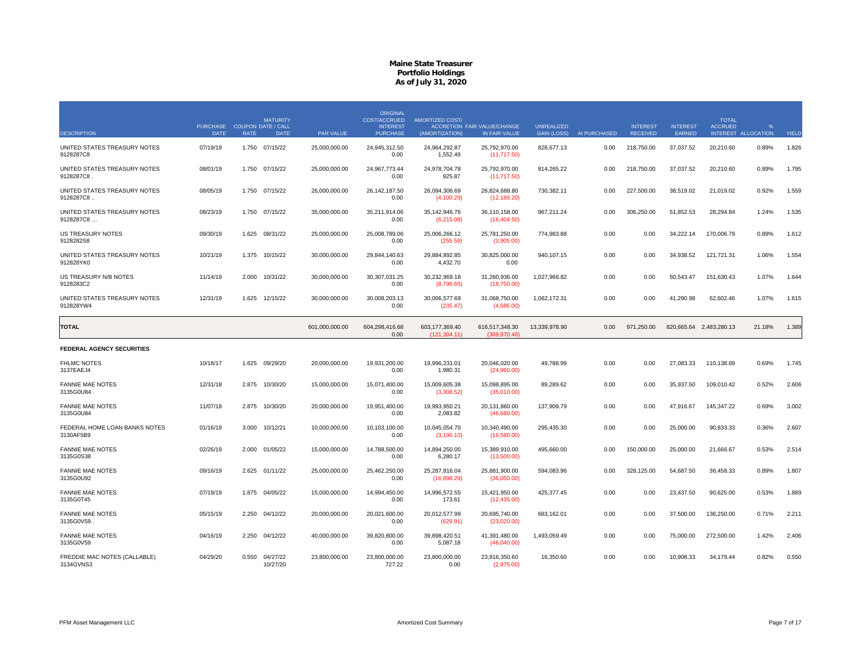|                                            | PURCHASE COUPON DATE / CALL |             | <b>MATURITY</b>      |                | <b>ORIGINAL</b><br><b>COST/ACCRUED</b><br><b>INTEREST</b> | AMORTIZED COST/                | <b>ACCRETION FAIR VALUE/CHANGE</b> | <b>UNREALIZED</b>  |              | <b>INTEREST</b> | <b>INTEREST</b> | <b>TOTAL</b><br><b>ACCRUED</b> | %                   |       |
|--------------------------------------------|-----------------------------|-------------|----------------------|----------------|-----------------------------------------------------------|--------------------------------|------------------------------------|--------------------|--------------|-----------------|-----------------|--------------------------------|---------------------|-------|
| <b>DESCRIPTION</b>                         | <b>DATE</b>                 | <b>RATE</b> | <b>DATE</b>          | PAR VALUE      | <b>PURCHASE</b>                                           | (AMORTIZATION)                 | IN FAIR VALUE                      | <b>GAIN (LOSS)</b> | AI PURCHASED | <b>RECEIVED</b> | EARNED          |                                | INTEREST ALLOCATION | YIELD |
| UNITED STATES TREASURY NOTES<br>9128287C8  | 07/19/19                    |             | 1.750 07/15/22       | 25,000,000.00  | 24,945,312.50<br>0.00                                     | 24,964,292.87<br>1,552.49      | 25,792,970.00<br>(11,717.50)       | 828,677.13         | 0.00         | 218,750.00      | 37,037.52       | 20,210.60                      | 0.89%               | 1.826 |
| UNITED STATES TREASURY NOTES<br>9128287C8  | 08/01/19                    | 1.750       | 07/15/22             | 25,000,000.00  | 24.967.773.44<br>0.00                                     | 24,978,704.78<br>925.87        | 25,792,970.00<br>(11,717.50)       | 814,265.22         | 0.00         | 218,750.00      | 37,037.52       | 20,210.60                      | 0.89%               | 1.795 |
| UNITED STATES TREASURY NOTES<br>9128287C8  | 08/05/19                    | 1.750       | 07/15/22             | 26,000,000.00  | 26, 142, 187.50<br>0.00                                   | 26,094,306.69<br>(4, 100.29)   | 26,824,688.80<br>(12, 186.20)      | 730,382.11         | 0.00         | 227,500.00      | 38,519.02       | 21,019.02                      | 0.92%               | 1.559 |
| UNITED STATES TREASURY NOTES<br>9128287C8  | 08/23/19                    | 1.750       | 07/15/22             | 35,000,000.00  | 35,211,914.06<br>0.00                                     | 35,142,946.76<br>(6,215.08)    | 36,110,158.00<br>(16, 404.50)      | 967,211.24         | 0.00         | 306,250.00      | 51,852.53       | 28,294.84                      | 1.24%               | 1.535 |
| <b>US TREASURY NOTES</b><br>9128282S8      | 09/30/19                    |             | 1.625 08/31/22       | 25,000,000.00  | 25,008,789.06<br>0.00                                     | 25,006,266.12<br>(255.59)      | 25,781,250.00<br>(3,905.00)        | 774,983.88         | 0.00         | 0.00            | 34,222.14       | 170,006.79                     | 0.89%               | 1.612 |
| UNITED STATES TREASURY NOTES<br>912828YK0  | 10/21/19                    | 1.375       | 10/15/22             | 30,000,000.00  | 29,844,140.63<br>0.00                                     | 29,884,892.85<br>4,432.70      | 30,825,000.00<br>0.00              | 940,107.15         | 0.00         | 0.00            | 34,938.52       | 121,721.31                     | 1.06%               | 1.554 |
| US TREASURY N/B NOTES<br>9128283C2         | 11/14/19                    | 2.000       | 10/31/22             | 30.000.000.00  | 30.307.031.25<br>0.00                                     | 30.232.969.18<br>(8,796.65)    | 31.260.936.00<br>(18,750.00)       | 1.027.966.82       | 0.00         | 0.00            | 50.543.47       | 151.630.43                     | 1.07%               | 1.644 |
| UNITED STATES TREASURY NOTES<br>912828YW4  | 12/31/19                    | 1.625       | 12/15/22             | 30,000,000.00  | 30,008,203.13<br>0.00                                     | 30,006,577.69<br>(235.47)      | 31,068,750.00<br>(4,686.00)        | 1,062,172.31       | 0.00         | 0.00            | 41,290.98       | 62,602.46                      | 1.07%               | 1.615 |
| <b>TOTAL</b>                               |                             |             |                      | 601,000,000.00 | 604.298.416.68<br>0.00                                    | 603.177.369.40<br>(121.304.11) | 616,517,348.30<br>(369.970.46)     | 13.339.978.90      | 0.00         | 971.250.00      |                 | 820.665.64 2.483.280.13        | 21.18%              | 1.389 |
| <b>FEDERAL AGENCY SECURITIES</b>           |                             |             |                      |                |                                                           |                                |                                    |                    |              |                 |                 |                                |                     |       |
| <b>FHLMC NOTES</b><br>3137EAEJ4            | 10/18/17                    | 1.625       | 09/29/20             | 20.000.000.00  | 19.931.200.00<br>0.00                                     | 19.996.231.01<br>1,980.31      | 20.046.020.00<br>(24,960.00)       | 49,788.99          | 0.00         | 0.00            | 27.083.33       | 110.138.89                     | 0.69%               | 1.745 |
| <b>FANNIE MAE NOTES</b><br>3135G0U84       | 12/31/18                    | 2.875       | 10/30/20             | 15,000,000.00  | 15,071,400.00<br>0.00                                     | 15,009,605.38<br>(3,308.52)    | 15,098,895.00<br>(35,010.00)       | 89,289.62          | 0.00         | 0.00            | 35,937.50       | 109,010.42                     | 0.52%               | 2.606 |
| <b>FANNIE MAE NOTES</b><br>3135G0U84       | 11/07/18                    | 2.875       | 10/30/20             | 20,000,000.00  | 19,951,400.00<br>0.00                                     | 19,993,950.21<br>2,083.82      | 20,131,860.00<br>(46,680.00)       | 137,909.79         | 0.00         | 0.00            | 47,916.67       | 145,347.22                     | 0.69%               | 3.002 |
| FEDERAL HOME LOAN BANKS NOTES<br>3130AF5B9 | 01/16/19                    | 3.000       | 10/12/21             | 10,000,000.00  | 10,103,100.00<br>0.00                                     | 10.045.054.70<br>(3, 196.10)   | 10,340,490.00<br>(16,580.00)       | 295,435.30         | 0.00         | 0.00            | 25,000.00       | 90,833.33                      | 0.36%               | 2.607 |
| <b>FANNIE MAE NOTES</b><br>3135G0S38       | 02/26/19                    | 2.000       | 01/05/22             | 15,000,000.00  | 14.788.500.00<br>0.00                                     | 14.894.250.00<br>6,280.17      | 15.389.910.00<br>(13,500.00)       | 495,660.00         | 0.00         | 150,000.00      | 25,000.00       | 21.666.67                      | 0.53%               | 2.514 |
| <b>FANNIE MAE NOTES</b><br>3135G0U92       | 09/16/19                    |             | 2.625 01/11/22       | 25,000,000.00  | 25,462,250.00<br>0.00                                     | 25,287,816.04<br>(16,898.29)   | 25,881,900.00<br>(36,050.00)       | 594,083.96         | 0.00         | 328,125.00      | 54,687.50       | 36,458.33                      | 0.89%               | 1.807 |
| <b>FANNIE MAE NOTES</b><br>3135G0T45       | 07/19/19                    | 1.875       | 04/05/22             | 15,000,000.00  | 14,994,450.00<br>0.00                                     | 14,996,572.55<br>173.61        | 15,421,950.00<br>(12, 435.00)      | 425,377.45         | 0.00         | 0.00            | 23,437.50       | 90,625.00                      | 0.53%               | 1.889 |
| <b>FANNIE MAE NOTES</b><br>3135G0V59       | 05/15/19                    | 2.250       | 04/12/22             | 20,000,000.00  | 20,021,600.00<br>0.00                                     | 20,012,577.99<br>(629.91)      | 20,695,740.00<br>(23,020.00)       | 683,162.01         | 0.00         | 0.00            | 37,500.00       | 136,250.00                     | 0.71%               | 2.211 |
| <b>FANNIE MAE NOTES</b><br>3135G0V59       | 04/16/19                    | 2.250       | 04/12/22             | 40,000,000.00  | 39,820,800.00<br>0.00                                     | 39,898,420.51<br>5,087.18      | 41,391,480.00<br>(46,040.00)       | 1,493,059.49       | 0.00         | 0.00            | 75,000.00       | 272,500.00                     | 1.42%               | 2.406 |
| FREDDIE MAC NOTES (CALLABLE)<br>3134GVNS3  | 04/29/20                    | 0.550       | 04/27/22<br>10/27/20 | 23,800,000.00  | 23,800,000.00<br>727.22                                   | 23,800,000.00<br>0.00          | 23,816,350.60<br>(2,975.00)        | 16,350.60          | 0.00         | 0.00            | 10,908.33       | 34,179.44                      | 0.82%               | 0.550 |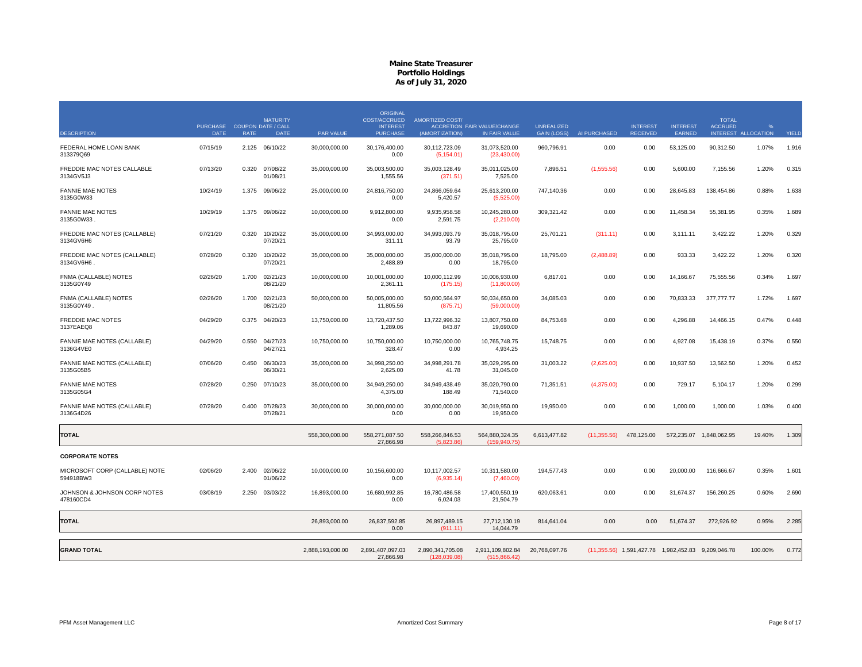|                                             | PURCHASE COUPON DATE / CALL |             | <b>MATURITY</b>      |                  | ORIGINAL<br><b>COST/ACCRUED</b><br><b>INTEREST</b> | <b>AMORTIZED COST/</b>           | <b>ACCRETION FAIR VALUE/CHANGE</b> | <b>UNREALIZED</b>  |              | <b>INTEREST</b> | <b>INTEREST</b>                                    | <b>TOTAL</b><br><b>ACCRUED</b> |                     |       |
|---------------------------------------------|-----------------------------|-------------|----------------------|------------------|----------------------------------------------------|----------------------------------|------------------------------------|--------------------|--------------|-----------------|----------------------------------------------------|--------------------------------|---------------------|-------|
| <b>DESCRIPTION</b>                          | <b>DATE</b>                 | <b>RATE</b> | <b>DATE</b>          | PAR VALUE        | <b>PURCHASE</b>                                    | (AMORTIZATION)                   | IN FAIR VALUE                      | <b>GAIN (LOSS)</b> | AI PURCHASED | <b>RECEIVED</b> | EARNED                                             |                                | INTEREST ALLOCATION | YIELD |
| FEDERAL HOME LOAN BANK<br>313379Q69         | 07/15/19                    | 2.125       | 06/10/22             | 30,000,000.00    | 30,176,400.00<br>0.00                              | 30,112,723.09<br>(5, 154.01)     | 31,073,520.00<br>(23, 430.00)      | 960,796.91         | 0.00         | 0.00            | 53,125.00                                          | 90,312.50                      | 1.07%               | 1.916 |
| FREDDIE MAC NOTES CALLABLE<br>3134GV5J3     | 07/13/20                    | 0.320       | 07/08/22<br>01/08/21 | 35,000,000.00    | 35,003,500.00<br>1,555.56                          | 35,003,128.49<br>(371.51)        | 35,011,025.00<br>7,525.00          | 7,896.51           | (1,555.56)   | 0.00            | 5,600.00                                           | 7,155.56                       | 1.20%               | 0.315 |
| <b>FANNIE MAE NOTES</b><br>3135G0W33        | 10/24/19                    | 1.375       | 09/06/22             | 25,000,000.00    | 24,816,750.00<br>0.00                              | 24,866,059.64<br>5,420.57        | 25,613,200.00<br>(5,525.00)        | 747,140.36         | 0.00         | 0.00            | 28,645.83                                          | 138,454.86                     | 0.88%               | 1.638 |
| <b>FANNIE MAE NOTES</b><br>3135G0W33        | 10/29/19                    | 1.375       | 09/06/22             | 10,000,000.00    | 9,912,800.00<br>0.00                               | 9.935.958.58<br>2,591.75         | 10,245,280.00<br>(2, 210.00)       | 309,321.42         | 0.00         | 0.00            | 11,458.34                                          | 55,381.95                      | 0.35%               | 1.689 |
| FREDDIE MAC NOTES (CALLABLE)<br>3134GV6H6   | 07/21/20                    | 0.320       | 10/20/22<br>07/20/21 | 35,000,000.00    | 34,993,000.00<br>311.11                            | 34,993,093.79<br>93.79           | 35,018,795.00<br>25,795.00         | 25,701.21          | (311.11)     | 0.00            | 3,111.11                                           | 3,422.22                       | 1.20%               | 0.329 |
| FREDDIE MAC NOTES (CALLABLE)<br>3134GV6H6   | 07/28/20                    | 0.320       | 10/20/22<br>07/20/21 | 35,000,000.00    | 35,000,000.00<br>2,488.89                          | 35,000,000.00<br>0.00            | 35,018,795.00<br>18,795.00         | 18,795.00          | (2,488.89)   | 0.00            | 933.33                                             | 3,422.22                       | 1.20%               | 0.320 |
| FNMA (CALLABLE) NOTES<br>3135G0Y49          | 02/26/20                    | 1.700       | 02/21/23<br>08/21/20 | 10,000,000.00    | 10,001,000.00<br>2,361.11                          | 10,000,112.99<br>(175.15)        | 10,006,930.00<br>(11,800.00)       | 6,817.01           | 0.00         | 0.00            | 14,166.67                                          | 75,555.56                      | 0.34%               | 1.697 |
| FNMA (CALLABLE) NOTES<br>3135G0Y49.         | 02/26/20                    | 1.700       | 02/21/23<br>08/21/20 | 50.000.000.00    | 50,005,000.00<br>11,805.56                         | 50.000.564.97<br>(875.71)        | 50,034,650.00<br>(59,000.00)       | 34.085.03          | 0.00         | 0.00            | 70,833.33                                          | 377,777,77                     | 1.72%               | 1.697 |
| <b>FREDDIE MAC NOTES</b><br>3137EAEQ8       | 04/29/20                    | 0.375       | 04/20/23             | 13,750,000.00    | 13,720,437.50<br>1,289.06                          | 13,722,996.32<br>843.87          | 13,807,750.00<br>19,690.00         | 84,753.68          | 0.00         | 0.00            | 4,296.88                                           | 14,466.15                      | 0.47%               | 0.448 |
| FANNIE MAE NOTES (CALLABLE)<br>3136G4VE0    | 04/29/20                    | 0.550       | 04/27/23<br>04/27/21 | 10,750,000.00    | 10,750,000.00<br>328.47                            | 10,750,000.00<br>0.00            | 10,765,748.75<br>4,934.25          | 15,748.75          | 0.00         | 0.00            | 4,927.08                                           | 15,438.19                      | 0.37%               | 0.550 |
| FANNIE MAE NOTES (CALLABLE)<br>3135G05B5    | 07/06/20                    | 0.450       | 06/30/23<br>06/30/21 | 35,000,000.00    | 34,998,250.00<br>2,625.00                          | 34,998,291.78<br>41.78           | 35,029,295.00<br>31,045.00         | 31,003.22          | (2,625.00)   | 0.00            | 10,937.50                                          | 13,562.50                      | 1.20%               | 0.452 |
| <b>FANNIE MAE NOTES</b><br>3135G05G4        | 07/28/20                    | 0.250       | 07/10/23             | 35,000,000.00    | 34,949,250.00<br>4.375.00                          | 34,949,438.49<br>188.49          | 35,020,790.00<br>71.540.00         | 71,351.51          | (4,375.00)   | 0.00            | 729.17                                             | 5,104.17                       | 1.20%               | 0.299 |
| FANNIE MAE NOTES (CALLABLE)<br>3136G4D26    | 07/28/20                    | 0.400       | 07/28/23<br>07/28/21 | 30,000,000.00    | 30.000.000.00<br>0.00                              | 30.000.000.00<br>0.00            | 30,019,950.00<br>19,950.00         | 19,950.00          | 0.00         | 0.00            | 1,000.00                                           | 1,000.00                       | 1.03%               | 0.400 |
| <b>TOTAL</b>                                |                             |             |                      | 558,300,000.00   | 558,271,087.50<br>27,866.98                        | 558,266,846.53<br>(5,823.86)     | 564,880,324.35<br>(159.940.75)     | 6,613,477.82       | (11,355.56)  | 478,125.00      |                                                    | 572,235.07 1,848,062.95        | 19.40%              | 1.309 |
| <b>CORPORATE NOTES</b>                      |                             |             |                      |                  |                                                    |                                  |                                    |                    |              |                 |                                                    |                                |                     |       |
| MICROSOFT CORP (CALLABLE) NOTE<br>594918BW3 | 02/06/20                    | 2.400       | 02/06/22<br>01/06/22 | 10,000,000.00    | 10,156,600.00<br>0.00                              | 10,117,002.57<br>(6,935.14)      | 10,311,580.00<br>(7,460.00)        | 194,577.43         | 0.00         | 0.00            | 20,000.00                                          | 116,666.67                     | 0.35%               | 1.601 |
| JOHNSON & JOHNSON CORP NOTES<br>478160CD4   | 03/08/19                    | 2.250       | 03/03/22             | 16,893,000.00    | 16,680,992.85<br>0.00                              | 16,780,486.58<br>6,024.03        | 17,400,550.19<br>21,504.79         | 620,063.61         | 0.00         | 0.00            | 31,674.37                                          | 156,260.25                     | 0.60%               | 2.690 |
| <b>TOTAL</b>                                |                             |             |                      | 26,893,000.00    | 26,837,592.85<br>0.00                              | 26.897.489.15<br>(911.11)        | 27,712,130.19<br>14,044.79         | 814,641.04         | 0.00         | 0.00            | 51,674.37                                          | 272,926.92                     | 0.95%               | 2.285 |
| <b>GRAND TOTAL</b>                          |                             |             |                      | 2,888,193,000.00 | 2,891,407,097.03<br>27,866.98                      | 2,890,341,705.08<br>(128.039.08) | 2,911,109,802.84<br>(515.866.42)   | 20,768,097.76      |              |                 | (11,355.56) 1,591,427.78 1,982,452.83 9,209,046.78 |                                | 100.00%             | 0.772 |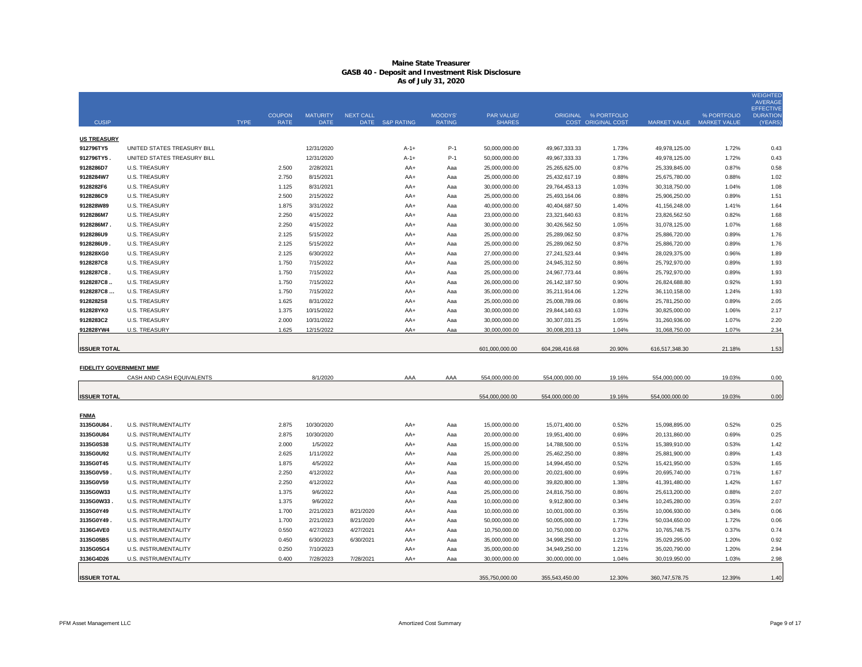|                                |                             |             |               |                 |                  |                 |                |                |                 |                           |                           |             | <b>WEIGHTED</b><br><b>AVERAGE</b>   |
|--------------------------------|-----------------------------|-------------|---------------|-----------------|------------------|-----------------|----------------|----------------|-----------------|---------------------------|---------------------------|-------------|-------------------------------------|
|                                |                             |             | <b>COUPON</b> | <b>MATURITY</b> | <b>NEXT CALL</b> |                 | <b>MOODYS'</b> | PAR VALUE/     |                 | ORIGINAL % PORTFOLIO      |                           | % PORTFOLIO | <b>EFFECTIVE</b><br><b>DURATION</b> |
| <b>CUSIP</b>                   |                             | <b>TYPE</b> | <b>RATE</b>   | <b>DATE</b>     |                  | DATE S&P RATING | <b>RATING</b>  | <b>SHARES</b>  |                 | <b>COST ORIGINAL COST</b> | MARKET VALUE MARKET VALUE |             | (YEARS                              |
| <b>US TREASURY</b>             |                             |             |               |                 |                  |                 |                |                |                 |                           |                           |             |                                     |
| 912796TY5                      | UNITED STATES TREASURY BILL |             |               | 12/31/2020      |                  | $A-1+$          | $P-1$          | 50,000,000.00  | 49,967,333.33   | 1.73%                     | 49,978,125.00             | 1.72%       | 0.43                                |
| 912796TY5                      | UNITED STATES TREASURY BILL |             |               | 12/31/2020      |                  | $A-1+$          | $P-1$          | 50,000,000.00  | 49,967,333.33   | 1.73%                     | 49,978,125.00             | 1.72%       | 0.43                                |
| 9128286D7                      | <b>U.S. TREASURY</b>        |             | 2.500         | 2/28/2021       |                  | AA+             | Aaa            | 25,000,000.00  | 25,265,625.00   | 0.87%                     | 25,339,845.00             | 0.87%       | 0.58                                |
| 9128284W7                      | <b>U.S. TREASURY</b>        |             | 2.750         | 8/15/2021       |                  | AA+             | Aaa            | 25,000,000.00  | 25,432,617.19   | 0.88%                     | 25,675,780.00             | 0.88%       | 1.02                                |
| 9128282F6                      | <b>U.S. TREASURY</b>        |             | 1.125         | 8/31/2021       |                  | AA+             | Aaa            | 30,000,000.00  | 29,764,453.13   | 1.03%                     | 30,318,750.00             | 1.04%       | 1.08                                |
| 9128286C9                      | <b>U.S. TREASURY</b>        |             | 2.500         | 2/15/2022       |                  | AA+             | Aaa            | 25,000,000.00  | 25,493,164.06   | 0.88%                     | 25,906,250.00             | 0.89%       | 1.51                                |
| 912828W89                      | <b>U.S. TREASURY</b>        |             | 1.875         | 3/31/2022       |                  | AA+             | Aaa            | 40,000,000.00  | 40,404,687.50   | 1.40%                     | 41,156,248.00             | 1.41%       | 1.64                                |
| 9128286M7                      | <b>U.S. TREASURY</b>        |             | 2.250         | 4/15/2022       |                  | AA+             | Aaa            | 23,000,000.00  | 23,321,640.63   | 0.81%                     | 23,826,562.50             | 0.82%       | 1.68                                |
| 9128286M7                      | <b>U.S. TREASURY</b>        |             | 2.250         | 4/15/2022       |                  | AA+             | Aaa            | 30,000,000.00  | 30,426,562.50   | 1.05%                     | 31,078,125.00             | 1.07%       | 1.68                                |
| 9128286U9                      | <b>U.S. TREASURY</b>        |             | 2.125         | 5/15/2022       |                  | AA+             | Aaa            | 25,000,000.00  | 25,289,062.50   | 0.87%                     | 25,886,720.00             | 0.89%       | 1.76                                |
| 9128286U9                      | <b>U.S. TREASURY</b>        |             | 2.125         | 5/15/2022       |                  | AA+             | Aaa            | 25,000,000.00  | 25,289,062.50   | 0.87%                     | 25,886,720.00             | 0.89%       | 1.76                                |
| 912828XG0                      | <b>U.S. TREASURY</b>        |             | 2.125         | 6/30/2022       |                  | AA+             | Aaa            | 27,000,000.00  | 27,241,523.44   | 0.94%                     | 28,029,375.00             | 0.96%       | 1.89                                |
| 9128287C8                      | <b>U.S. TREASURY</b>        |             | 1.750         | 7/15/2022       |                  | AA+             | Aaa            | 25,000,000.00  | 24,945,312.50   | 0.86%                     | 25,792,970.00             | 0.89%       | 1.93                                |
| 9128287C8                      | <b>U.S. TREASURY</b>        |             | 1.750         | 7/15/2022       |                  | AA+             | Aaa            | 25,000,000.00  | 24,967,773.44   | 0.86%                     | 25,792,970.00             | 0.89%       | 1.93                                |
| 9128287C8                      | <b>U.S. TREASURY</b>        |             | 1.750         | 7/15/2022       |                  | AA+             | Aaa            | 26,000,000.00  | 26, 142, 187.50 | 0.90%                     | 26,824,688.80             | 0.92%       | 1.93                                |
| 9128287C8                      | <b>U.S. TREASURY</b>        |             | 1.750         | 7/15/2022       |                  | AA+             | Aaa            | 35,000,000.00  | 35,211,914.06   | 1.22%                     | 36,110,158.00             | 1.24%       | 1.93                                |
| 9128282S8                      | <b>U.S. TREASURY</b>        |             | 1.625         | 8/31/2022       |                  | AA+             | Aaa            | 25,000,000.00  | 25,008,789.06   | 0.86%                     | 25,781,250.00             | 0.89%       | 2.05                                |
| 912828YK0                      | <b>U.S. TREASURY</b>        |             | 1.375         | 10/15/2022      |                  | AA+             | Aaa            | 30,000,000.00  | 29,844,140.63   | 1.03%                     | 30,825,000.00             | 1.06%       | 2.17                                |
| 9128283C2                      | <b>U.S. TREASURY</b>        |             | 2.000         | 10/31/2022      |                  | AA+             | Aaa            | 30,000,000.00  | 30,307,031.25   | 1.05%                     | 31,260,936.00             | 1.07%       | 2.20                                |
| 912828YW4                      | <b>U.S. TREASURY</b>        |             | 1.625         | 12/15/2022      |                  | AA+             | Aaa            | 30,000,000.00  | 30,008,203.13   | 1.04%                     | 31,068,750.00             | 1.07%       | 2.34                                |
|                                |                             |             |               |                 |                  |                 |                |                |                 | 20.90%                    |                           | 21.18%      |                                     |
| <b>ISSUER TOTAL</b>            |                             |             |               |                 |                  |                 |                | 601,000,000.00 | 604,298,416.68  |                           | 616,517,348.30            |             | 1.53                                |
| <b>FIDELITY GOVERNMENT MMF</b> |                             |             |               |                 |                  |                 |                |                |                 |                           |                           |             |                                     |
|                                | CASH AND CASH EQUIVALENTS   |             |               | 8/1/2020        |                  | AAA             | AAA            | 554,000,000.00 | 554,000,000.00  | 19.16%                    | 554,000,000.00            | 19.03%      | 0.00                                |
|                                |                             |             |               |                 |                  |                 |                |                |                 |                           |                           |             |                                     |
| <b>ISSUER TOTAL</b>            |                             |             |               |                 |                  |                 |                | 554,000,000.00 | 554,000,000.00  | 19.16%                    | 554,000,000.00            | 19.03%      | 0.00                                |
| <b>FNMA</b>                    |                             |             |               |                 |                  |                 |                |                |                 |                           |                           |             |                                     |
| 3135G0U84                      | <b>U.S. INSTRUMENTALITY</b> |             | 2.875         | 10/30/2020      |                  | AA+             | Aaa            | 15,000,000.00  | 15,071,400.00   | 0.52%                     | 15,098,895.00             | 0.52%       | 0.25                                |
| 3135G0U84                      | U.S. INSTRUMENTALITY        |             | 2.875         | 10/30/2020      |                  | AA+             | Aaa            | 20,000,000.00  | 19,951,400.00   | 0.69%                     | 20,131,860.00             | 0.69%       | 0.25                                |
| 3135G0S38                      | <b>U.S. INSTRUMENTALITY</b> |             | 2.000         | 1/5/2022        |                  | $AA+$           | Aaa            | 15,000,000.00  | 14,788,500.00   | 0.51%                     | 15,389,910.00             | 0.53%       | 1.42                                |
| 3135G0U92                      | <b>U.S. INSTRUMENTALITY</b> |             | 2.625         | 1/11/2022       |                  | AA+             | Aaa            | 25,000,000.00  | 25,462,250.00   | 0.88%                     | 25,881,900.00             | 0.89%       | 1.43                                |
| 3135G0T45                      | <b>U.S. INSTRUMENTALITY</b> |             | 1.875         | 4/5/2022        |                  | AA+             | Aaa            | 15,000,000.00  | 14,994,450.00   | 0.52%                     | 15,421,950.00             | 0.53%       | 1.65                                |
| 3135G0V59                      | <b>U.S. INSTRUMENTALITY</b> |             | 2.250         | 4/12/2022       |                  | AA+             | Aaa            | 20,000,000.00  | 20,021,600.00   | 0.69%                     | 20,695,740.00             | 0.71%       | 1.67                                |
| 3135G0V59                      | <b>U.S. INSTRUMENTALITY</b> |             | 2.250         | 4/12/2022       |                  | AA+             | Aaa            | 40,000,000.00  | 39,820,800.00   | 1.38%                     | 41,391,480.00             | 1.42%       | 1.67                                |
| 3135G0W33                      | <b>U.S. INSTRUMENTALITY</b> |             | 1.375         | 9/6/2022        |                  | AA+             | Aaa            | 25,000,000.00  | 24,816,750.00   | 0.86%                     | 25,613,200.00             | 0.88%       | 2.07                                |
| 3135G0W33                      | <b>U.S. INSTRUMENTALITY</b> |             | 1.375         | 9/6/2022        |                  | $AA+$           | Aaa            | 10,000,000.00  | 9,912,800.00    | 0.34%                     | 10,245,280.00             | 0.35%       | 2.07                                |
| 3135G0Y49                      | <b>U.S. INSTRUMENTALITY</b> |             | 1.700         | 2/21/2023       | 8/21/2020        | $AA+$           | Aaa            | 10,000,000.00  | 10,001,000.00   | 0.35%                     | 10,006,930.00             | 0.34%       | 0.06                                |
| 3135G0Y49                      | <b>U.S. INSTRUMENTALITY</b> |             | 1.700         | 2/21/2023       | 8/21/2020        | AA+             | Aaa            | 50,000,000.00  | 50,005,000.00   | 1.73%                     | 50,034,650.00             | 1.72%       | 0.06                                |
| 3136G4VE0                      | <b>U.S. INSTRUMENTALITY</b> |             | 0.550         | 4/27/2023       | 4/27/2021        | AA+             | Aaa            | 10,750,000.00  | 10,750,000.00   | 0.37%                     | 10,765,748.75             | 0.37%       | 0.74                                |
| 3135G05B5                      | <b>U.S. INSTRUMENTALITY</b> |             | 0.450         | 6/30/2023       | 6/30/2021        | AA+             | Aaa            | 35,000,000.00  | 34,998,250.00   | 1.21%                     | 35,029,295.00             | 1.20%       | 0.92                                |
| 3135G05G4                      | <b>U.S. INSTRUMENTALITY</b> |             | 0.250         | 7/10/2023       |                  | $AA+$           | Aaa            | 35,000,000.00  | 34,949,250.00   | 1.21%                     | 35,020,790.00             | 1.20%       | 2.94                                |
| 3136G4D26                      | <b>U.S. INSTRUMENTALITY</b> |             | 0.400         | 7/28/2023       | 7/28/2021        | $AA+$           | Aaa            | 30,000,000.00  | 30,000,000.00   | 1.04%                     | 30,019,950.00             | 1.03%       | 2.98                                |

**ISSUER TOTAL**

355,750,000.00 355,543,450.00 12.30% 360,747,578.75 12.39% 1.40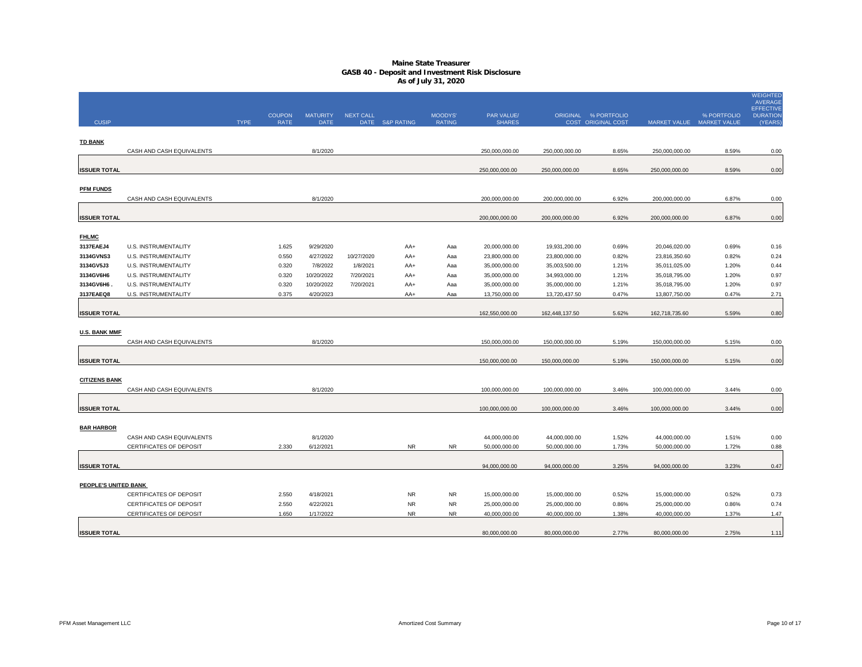|                      |                                |             |                       |                                |                  |                 |                          |                             |                |                                            |                |                                          | <b>WEIGHTED</b><br><b>AVERAGE</b>              |
|----------------------|--------------------------------|-------------|-----------------------|--------------------------------|------------------|-----------------|--------------------------|-----------------------------|----------------|--------------------------------------------|----------------|------------------------------------------|------------------------------------------------|
| <b>CUSIP</b>         |                                | <b>TYPE</b> | <b>COUPON</b><br>RATE | <b>MATURITY</b><br><b>DATE</b> | <b>NEXT CALL</b> | DATE S&P RATING | MOODYS'<br><b>RATING</b> | PAR VALUE/<br><b>SHARES</b> |                | ORIGINAL % PORTFOLIO<br>COST ORIGINAL COST |                | % PORTFOLIO<br>MARKET VALUE MARKET VALUE | <b>EFFECTIVE</b><br><b>DURATION</b><br>(YEARS) |
|                      |                                |             |                       |                                |                  |                 |                          |                             |                |                                            |                |                                          |                                                |
| <b>TD BANK</b>       | CASH AND CASH EQUIVALENTS      |             |                       | 8/1/2020                       |                  |                 |                          | 250,000,000.00              | 250,000,000.00 | 8.65%                                      | 250,000,000.00 | 8.59%                                    | 0.00                                           |
| <b>ISSUER TOTAL</b>  |                                |             |                       |                                |                  |                 |                          | 250,000,000.00              | 250,000,000.00 | 8.65%                                      | 250,000,000.00 | 8.59%                                    | 0.00                                           |
|                      |                                |             |                       |                                |                  |                 |                          |                             |                |                                            |                |                                          |                                                |
| <b>PFM FUNDS</b>     | CASH AND CASH EQUIVALENTS      |             |                       | 8/1/2020                       |                  |                 |                          | 200,000,000.00              | 200,000,000.00 | 6.92%                                      | 200,000,000.00 | 6.87%                                    | 0.00                                           |
| <b>ISSUER TOTAL</b>  |                                |             |                       |                                |                  |                 |                          | 200,000,000.00              | 200,000,000.00 | 6.92%                                      | 200,000,000.00 | 6.87%                                    | 0.00                                           |
| <b>FHLMC</b>         |                                |             |                       |                                |                  |                 |                          |                             |                |                                            |                |                                          |                                                |
| 3137EAEJ4            | U.S. INSTRUMENTALITY           |             | 1.625                 | 9/29/2020                      |                  | AA+             | Aaa                      | 20,000,000.00               | 19,931,200.00  | 0.69%                                      | 20,046,020.00  | 0.69%                                    | 0.16                                           |
| 3134GVNS3            | U.S. INSTRUMENTALITY           |             | 0.550                 | 4/27/2022                      | 10/27/2020       | AA+             | Aaa                      | 23,800,000.00               | 23,800,000.00  | 0.82%                                      | 23,816,350.60  | 0.82%                                    | 0.24                                           |
| 3134GV5J3            | U.S. INSTRUMENTALITY           |             | 0.320                 | 7/8/2022                       | 1/8/2021         | AA+             | Aaa                      | 35,000,000.00               | 35,003,500.00  | 1.21%                                      | 35,011,025.00  | 1.20%                                    | 0.44                                           |
| 3134GV6H6            | U.S. INSTRUMENTALITY           |             | 0.320                 | 10/20/2022                     | 7/20/2021        | AA+             | Aaa                      | 35,000,000.00               | 34,993,000.00  | 1.21%                                      | 35,018,795.00  | 1.20%                                    | 0.97                                           |
| 3134GV6H6.           | U.S. INSTRUMENTALITY           |             | 0.320                 | 10/20/2022                     | 7/20/2021        | AA+             | Aaa                      | 35,000,000.00               | 35,000,000.00  | 1.21%                                      | 35,018,795.00  | 1.20%                                    | 0.97                                           |
| 3137EAEQ8            | U.S. INSTRUMENTALITY           |             | 0.375                 | 4/20/2023                      |                  | AA+             | Aaa                      | 13,750,000.00               | 13,720,437.50  | 0.47%                                      | 13,807,750.00  | 0.47%                                    | 2.71                                           |
| <b>ISSUER TOTAL</b>  |                                |             |                       |                                |                  |                 |                          | 162,550,000.00              | 162,448,137.50 | 5.62%                                      | 162,718,735.60 | 5.59%                                    | 0.80                                           |
| <b>U.S. BANK MMF</b> |                                |             |                       |                                |                  |                 |                          |                             |                |                                            |                |                                          |                                                |
|                      | CASH AND CASH EQUIVALENTS      |             |                       | 8/1/2020                       |                  |                 |                          | 150,000,000.00              | 150,000,000.00 | 5.19%                                      | 150,000,000.00 | 5.15%                                    | 0.00                                           |
| <b>ISSUER TOTAL</b>  |                                |             |                       |                                |                  |                 |                          | 150,000,000.00              | 150,000,000.00 | 5.19%                                      | 150,000,000.00 | 5.15%                                    | 0.00                                           |
| <b>CITIZENS BANK</b> |                                |             |                       |                                |                  |                 |                          |                             |                |                                            |                |                                          |                                                |
|                      | CASH AND CASH EQUIVALENTS      |             |                       | 8/1/2020                       |                  |                 |                          | 100,000,000.00              | 100,000,000.00 | 3.46%                                      | 100,000,000.00 | 3.44%                                    | 0.00                                           |
| <b>ISSUER TOTAL</b>  |                                |             |                       |                                |                  |                 |                          | 100,000,000.00              | 100,000,000.00 | 3.46%                                      | 100,000,000.00 | 3.44%                                    | 0.00                                           |
| <b>BAR HARBOR</b>    |                                |             |                       |                                |                  |                 |                          |                             |                |                                            |                |                                          |                                                |
|                      | CASH AND CASH EQUIVALENTS      |             |                       | 8/1/2020                       |                  |                 |                          | 44,000,000.00               | 44,000,000.00  | 1.52%                                      | 44,000,000.00  | 1.51%                                    | 0.00                                           |
|                      | CERTIFICATES OF DEPOSIT        |             | 2.330                 | 6/12/2021                      |                  | <b>NR</b>       | <b>NR</b>                | 50,000,000.00               | 50,000,000.00  | 1.73%                                      | 50,000,000.00  | 1.72%                                    | 0.88                                           |
|                      |                                |             |                       |                                |                  |                 |                          |                             |                |                                            |                |                                          |                                                |
| <b>ISSUER TOTAL</b>  |                                |             |                       |                                |                  |                 |                          | 94,000,000.00               | 94,000,000.00  | 3.25%                                      | 94,000,000.00  | 3.23%                                    | 0.47                                           |
| PEOPLE'S UNITED BANK |                                |             |                       |                                |                  |                 |                          |                             |                |                                            |                |                                          |                                                |
|                      | <b>CERTIFICATES OF DEPOSIT</b> |             | 2.550                 | 4/18/2021                      |                  | <b>NR</b>       | <b>NR</b>                | 15,000,000.00               | 15,000,000.00  | 0.52%                                      | 15,000,000.00  | 0.52%                                    | 0.73                                           |
|                      | CERTIFICATES OF DEPOSIT        |             | 2.550                 | 4/22/2021                      |                  | <b>NR</b>       | <b>NR</b>                | 25,000,000.00               | 25,000,000.00  | 0.86%                                      | 25,000,000.00  | 0.86%                                    | 0.74                                           |
|                      | CERTIFICATES OF DEPOSIT        |             | 1.650                 | 1/17/2022                      |                  | <b>NR</b>       | <b>NR</b>                | 40,000,000.00               | 40,000,000.00  | 1.38%                                      | 40,000,000.00  | 1.37%                                    | 1.47                                           |
|                      |                                |             |                       |                                |                  |                 |                          |                             |                |                                            |                |                                          |                                                |
| <b>ISSUER TOTAL</b>  |                                |             |                       |                                |                  |                 |                          | 80,000,000.00               | 80,000,000.00  | 2.77%                                      | 80,000,000.00  | 2.75%                                    | 1.11                                           |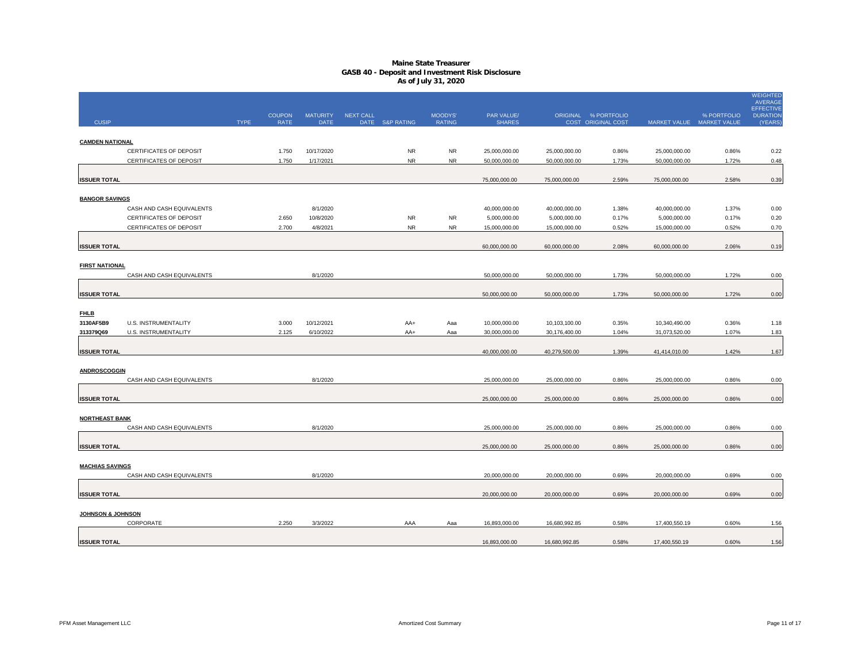|                        |                                                    |             | <b>COUPON</b>  | <b>MATURITY</b>         | <b>NEXT CALL</b> |                        | MOODYS'          | PAR VALUE/                     |                                | ORIGINAL % PORTFOLIO |                                | % PORTFOLIO               | <b>WEIGHTED</b><br><b>AVERAGE</b><br><b>EFFECTIVE</b><br><b>DURATION</b> |
|------------------------|----------------------------------------------------|-------------|----------------|-------------------------|------------------|------------------------|------------------|--------------------------------|--------------------------------|----------------------|--------------------------------|---------------------------|--------------------------------------------------------------------------|
| <b>CUSIP</b>           |                                                    | <b>TYPE</b> | <b>RATE</b>    | DATE                    |                  | DATE S&P RATING        | <b>RATING</b>    | <b>SHARES</b>                  |                                | COST ORIGINAL COST   |                                | MARKET VALUE MARKET VALUE | (YEARS)                                                                  |
|                        |                                                    |             |                |                         |                  |                        |                  |                                |                                |                      |                                |                           |                                                                          |
| <b>CAMDEN NATIONAL</b> |                                                    |             |                |                         |                  |                        |                  |                                |                                |                      |                                |                           |                                                                          |
|                        | CERTIFICATES OF DEPOSIT<br>CERTIFICATES OF DEPOSIT |             | 1.750<br>1.750 | 10/17/2020<br>1/17/2021 |                  | <b>NR</b><br><b>NR</b> | NR.<br><b>NR</b> | 25,000,000.00<br>50,000,000.00 | 25,000,000.00<br>50,000,000.00 | 0.86%<br>1.73%       | 25,000,000.00<br>50,000,000.00 | 0.86%<br>1.72%            | 0.22                                                                     |
|                        |                                                    |             |                |                         |                  |                        |                  |                                |                                |                      |                                |                           | 0.48                                                                     |
| <b>ISSUER TOTAL</b>    |                                                    |             |                |                         |                  |                        |                  | 75,000,000.00                  | 75,000,000.00                  | 2.59%                | 75,000,000.00                  | 2.58%                     | 0.39                                                                     |
|                        |                                                    |             |                |                         |                  |                        |                  |                                |                                |                      |                                |                           |                                                                          |
| <b>BANGOR SAVINGS</b>  |                                                    |             |                |                         |                  |                        |                  |                                |                                |                      |                                |                           |                                                                          |
|                        | CASH AND CASH EQUIVALENTS                          |             |                | 8/1/2020                |                  |                        |                  | 40,000,000.00                  | 40,000,000.00                  | 1.38%                | 40,000,000.00                  | 1.37%                     | 0.00                                                                     |
|                        | <b>CERTIFICATES OF DEPOSIT</b>                     |             | 2.650          | 10/8/2020               |                  | ${\sf NR}$             | <b>NR</b>        | 5,000,000.00                   | 5,000,000.00                   | 0.17%                | 5,000,000.00                   | 0.17%                     | 0.20                                                                     |
|                        | CERTIFICATES OF DEPOSIT                            |             | 2.700          | 4/8/2021                |                  | <b>NR</b>              | <b>NR</b>        | 15,000,000.00                  | 15,000,000.00                  | 0.52%                | 15,000,000.00                  | 0.52%                     | 0.70                                                                     |
|                        |                                                    |             |                |                         |                  |                        |                  |                                |                                |                      |                                |                           |                                                                          |
| <b>ISSUER TOTAL</b>    |                                                    |             |                |                         |                  |                        |                  | 60,000,000.00                  | 60,000,000.00                  | 2.08%                | 60,000,000.00                  | 2.06%                     | 0.19                                                                     |
|                        |                                                    |             |                |                         |                  |                        |                  |                                |                                |                      |                                |                           |                                                                          |
| <b>FIRST NATIONAL</b>  |                                                    |             |                |                         |                  |                        |                  |                                |                                |                      |                                |                           |                                                                          |
|                        | CASH AND CASH EQUIVALENTS                          |             |                | 8/1/2020                |                  |                        |                  | 50,000,000.00                  | 50,000,000.00                  | 1.73%                | 50,000,000.00                  | 1.72%                     | 0.00                                                                     |
| <b>ISSUER TOTAL</b>    |                                                    |             |                |                         |                  |                        |                  | 50,000,000.00                  | 50,000,000.00                  | 1.73%                | 50,000,000.00                  | 1.72%                     | 0.00                                                                     |
|                        |                                                    |             |                |                         |                  |                        |                  |                                |                                |                      |                                |                           |                                                                          |
| <b>FHLB</b>            |                                                    |             |                |                         |                  |                        |                  |                                |                                |                      |                                |                           |                                                                          |
| 3130AF5B9              | U.S. INSTRUMENTALITY                               |             | 3.000          | 10/12/2021              |                  | AA+                    | Aaa              | 10,000,000.00                  | 10,103,100.00                  | 0.35%                | 10,340,490.00                  | 0.36%                     | 1.18                                                                     |
| 313379Q69              | U.S. INSTRUMENTALITY                               |             | 2.125          | 6/10/2022               |                  | AA+                    | Aaa              | 30,000,000.00                  | 30,176,400.00                  | 1.04%                | 31,073,520.00                  | 1.07%                     | 1.83                                                                     |
|                        |                                                    |             |                |                         |                  |                        |                  |                                |                                |                      |                                |                           |                                                                          |
| <b>ISSUER TOTAL</b>    |                                                    |             |                |                         |                  |                        |                  | 40,000,000.00                  | 40,279,500.00                  | 1.39%                | 41,414,010.00                  | 1.42%                     | 1.67                                                                     |
|                        |                                                    |             |                |                         |                  |                        |                  |                                |                                |                      |                                |                           |                                                                          |
| <b>ANDROSCOGGIN</b>    |                                                    |             |                |                         |                  |                        |                  |                                |                                |                      |                                |                           |                                                                          |
|                        | CASH AND CASH EQUIVALENTS                          |             |                | 8/1/2020                |                  |                        |                  | 25,000,000.00                  | 25,000,000.00                  | 0.86%                | 25,000,000.00                  | 0.86%                     | 0.00                                                                     |
|                        |                                                    |             |                |                         |                  |                        |                  |                                |                                |                      |                                |                           |                                                                          |
| <b>ISSUER TOTAL</b>    |                                                    |             |                |                         |                  |                        |                  | 25,000,000.00                  | 25,000,000.00                  | 0.86%                | 25,000,000.00                  | 0.86%                     | 0.00                                                                     |
| <b>NORTHEAST BANK</b>  |                                                    |             |                |                         |                  |                        |                  |                                |                                |                      |                                |                           |                                                                          |
|                        | CASH AND CASH EQUIVALENTS                          |             |                | 8/1/2020                |                  |                        |                  | 25,000,000.00                  | 25,000,000.00                  | 0.86%                | 25,000,000.00                  | 0.86%                     | 0.00                                                                     |
|                        |                                                    |             |                |                         |                  |                        |                  |                                |                                |                      |                                |                           |                                                                          |
| <b>ISSUER TOTAL</b>    |                                                    |             |                |                         |                  |                        |                  | 25,000,000.00                  | 25,000,000.00                  | 0.86%                | 25,000,000.00                  | 0.86%                     | 0.00                                                                     |
|                        |                                                    |             |                |                         |                  |                        |                  |                                |                                |                      |                                |                           |                                                                          |
| <b>MACHIAS SAVINGS</b> |                                                    |             |                |                         |                  |                        |                  |                                |                                |                      |                                |                           |                                                                          |
|                        | CASH AND CASH EQUIVALENTS                          |             |                | 8/1/2020                |                  |                        |                  | 20,000,000.00                  | 20,000,000.00                  | 0.69%                | 20,000,000.00                  | 0.69%                     | 0.00                                                                     |
|                        |                                                    |             |                |                         |                  |                        |                  |                                |                                |                      |                                |                           |                                                                          |
| <b>ISSUER TOTAL</b>    |                                                    |             |                |                         |                  |                        |                  | 20,000,000.00                  | 20,000,000.00                  | 0.69%                | 20,000,000.00                  | 0.69%                     | 0.00                                                                     |
|                        |                                                    |             |                |                         |                  |                        |                  |                                |                                |                      |                                |                           |                                                                          |
| JOHNSON & JOHNSON      |                                                    |             |                |                         |                  |                        |                  |                                |                                |                      |                                |                           |                                                                          |
|                        | CORPORATE                                          |             | 2.250          | 3/3/2022                |                  | AAA                    | Aaa              | 16,893,000.00                  | 16,680,992.85                  | 0.58%                | 17,400,550.19                  | 0.60%                     | 1.56                                                                     |
| <b>ISSUER TOTAL</b>    |                                                    |             |                |                         |                  |                        |                  | 16,893,000.00                  | 16,680,992.85                  | 0.58%                | 17,400,550.19                  | 0.60%                     | 1.56                                                                     |
|                        |                                                    |             |                |                         |                  |                        |                  |                                |                                |                      |                                |                           |                                                                          |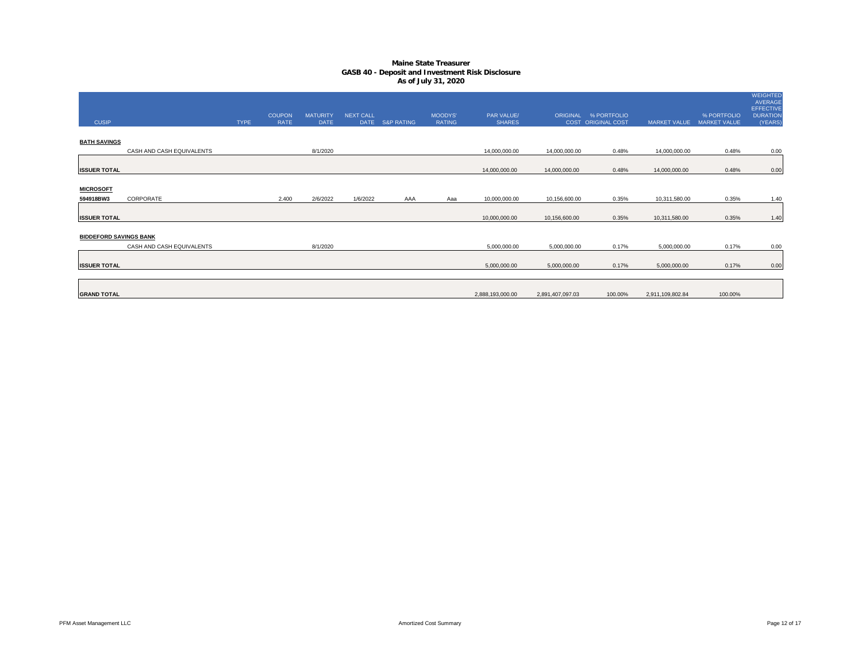| <b>CUSIP</b>                  |                           | <b>TYPE</b> | <b>COUPON</b><br>RATE | <b>MATURITY</b><br><b>DATE</b> | <b>NEXT CALL</b> | DATE S&P RATING | <b>MOODYS'</b><br><b>RATING</b> | <b>PAR VALUE/</b><br><b>SHARES</b> |                  | ORIGINAL % PORTFOLIO<br>COST ORIGINAL COST | <b>MARKET VALUE</b> | % PORTFOLIO<br><b>MARKET VALUE</b> | <b>WEIGHTED</b><br>AVERAGE<br><b>EFFECTIVE</b><br><b>DURATION</b><br>(YEARS) |
|-------------------------------|---------------------------|-------------|-----------------------|--------------------------------|------------------|-----------------|---------------------------------|------------------------------------|------------------|--------------------------------------------|---------------------|------------------------------------|------------------------------------------------------------------------------|
| <b>BATH SAVINGS</b>           |                           |             |                       |                                |                  |                 |                                 |                                    |                  |                                            |                     |                                    |                                                                              |
|                               | CASH AND CASH EQUIVALENTS |             |                       | 8/1/2020                       |                  |                 |                                 | 14,000,000.00                      | 14,000,000.00    | 0.48%                                      | 14,000,000.00       | 0.48%                              | 0.00                                                                         |
| <b>ISSUER TOTAL</b>           |                           |             |                       |                                |                  |                 |                                 | 14,000,000.00                      | 14,000,000.00    | 0.48%                                      | 14,000,000.00       | 0.48%                              | 0.00                                                                         |
| <b>MICROSOFT</b>              |                           |             |                       |                                |                  |                 |                                 |                                    |                  |                                            |                     |                                    |                                                                              |
| 594918BW3                     | CORPORATE                 |             | 2.400                 | 2/6/2022                       | 1/6/2022         | AAA             | Aaa                             | 10,000,000.00                      | 10,156,600.00    | 0.35%                                      | 10,311,580.00       | 0.35%                              | 1.40                                                                         |
| <b>ISSUER TOTAL</b>           |                           |             |                       |                                |                  |                 |                                 | 10,000,000.00                      | 10,156,600.00    | 0.35%                                      | 10,311,580.00       | 0.35%                              | 1.40                                                                         |
| <b>BIDDEFORD SAVINGS BANK</b> | CASH AND CASH EQUIVALENTS |             |                       | 8/1/2020                       |                  |                 |                                 | 5,000,000.00                       | 5,000,000.00     | 0.17%                                      | 5,000,000.00        | 0.17%                              | 0.00                                                                         |
| <b>ISSUER TOTAL</b>           |                           |             |                       |                                |                  |                 |                                 | 5,000,000.00                       | 5,000,000.00     | 0.17%                                      | 5,000,000.00        | 0.17%                              | 0.00                                                                         |
| <b>GRAND TOTAL</b>            |                           |             |                       |                                |                  |                 |                                 | 2,888,193,000.00                   | 2,891,407,097.03 | 100.00%                                    | 2,911,109,802.84    | 100.00%                            |                                                                              |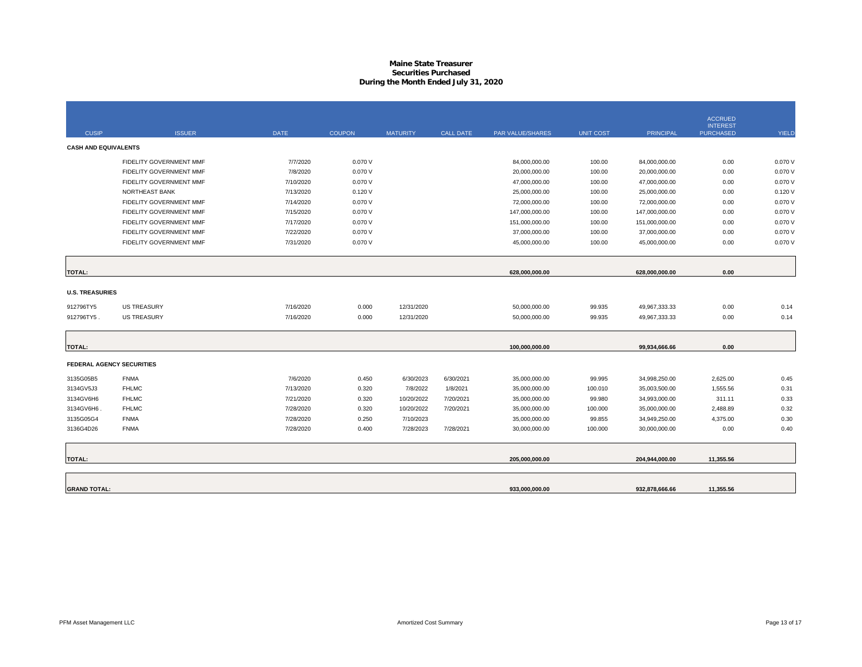## **Maine State Treasurer Securities PurchasedDuring the Month Ended July 31, 2020**

|                             |                                  |             |               |                 |                  |                  |                  |                  | <b>ACCRUED</b>                      |              |
|-----------------------------|----------------------------------|-------------|---------------|-----------------|------------------|------------------|------------------|------------------|-------------------------------------|--------------|
| <b>CUSIP</b>                | <b>ISSUER</b>                    | <b>DATE</b> | <b>COUPON</b> | <b>MATURITY</b> | <b>CALL DATE</b> | PAR VALUE/SHARES | <b>UNIT COST</b> | <b>PRINCIPAL</b> | <b>INTEREST</b><br><b>PURCHASED</b> | <b>YIELD</b> |
| <b>CASH AND EQUIVALENTS</b> |                                  |             |               |                 |                  |                  |                  |                  |                                     |              |
|                             | FIDELITY GOVERNMENT MMF          | 7/7/2020    | 0.070 V       |                 |                  | 84,000,000.00    | 100.00           | 84,000,000.00    | 0.00                                | 0.070V       |
|                             | FIDELITY GOVERNMENT MMF          | 7/8/2020    | 0.070V        |                 |                  | 20,000,000.00    | 100.00           | 20,000,000.00    | 0.00                                | 0.070 V      |
|                             | FIDELITY GOVERNMENT MMF          | 7/10/2020   | 0.070 V       |                 |                  | 47,000,000.00    | 100.00           | 47,000,000.00    | 0.00                                | 0.070 V      |
|                             | NORTHEAST BANK                   | 7/13/2020   | 0.120V        |                 |                  | 25,000,000.00    | 100.00           | 25,000,000.00    | 0.00                                | 0.120V       |
|                             | FIDELITY GOVERNMENT MMF          | 7/14/2020   | 0.070V        |                 |                  | 72,000,000.00    | 100.00           | 72,000,000.00    | 0.00                                | 0.070 V      |
|                             | FIDELITY GOVERNMENT MMF          | 7/15/2020   | 0.070 V       |                 |                  | 147,000,000.00   | 100.00           | 147,000,000.00   | 0.00                                | 0.070 V      |
|                             | FIDELITY GOVERNMENT MMF          | 7/17/2020   | 0.070 V       |                 |                  | 151,000,000.00   | 100.00           | 151,000,000.00   | 0.00                                | 0.070 V      |
|                             | FIDELITY GOVERNMENT MMF          | 7/22/2020   | 0.070 V       |                 |                  | 37,000,000.00    | 100.00           | 37,000,000.00    | 0.00                                | 0.070 V      |
|                             | FIDELITY GOVERNMENT MMF          | 7/31/2020   | 0.070 V       |                 |                  | 45,000,000.00    | 100.00           | 45,000,000.00    | 0.00                                | 0.070 V      |
|                             |                                  |             |               |                 |                  |                  |                  |                  |                                     |              |
| <b>TOTAL:</b>               |                                  |             |               |                 |                  | 628,000,000.00   |                  | 628,000,000.00   | 0.00                                |              |
| <b>U.S. TREASURIES</b>      |                                  |             |               |                 |                  |                  |                  |                  |                                     |              |
| 912796TY5                   | <b>US TREASURY</b>               | 7/16/2020   | 0.000         | 12/31/2020      |                  | 50,000,000.00    | 99.935           | 49,967,333.33    | 0.00                                | 0.14         |
| 912796TY5.                  | <b>US TREASURY</b>               | 7/16/2020   | 0.000         | 12/31/2020      |                  | 50,000,000.00    | 99.935           | 49,967,333.33    | 0.00                                | 0.14         |
|                             |                                  |             |               |                 |                  |                  |                  |                  |                                     |              |
| <b>TOTAL:</b>               |                                  |             |               |                 |                  | 100,000,000.00   |                  | 99,934,666.66    | 0.00                                |              |
|                             | <b>FEDERAL AGENCY SECURITIES</b> |             |               |                 |                  |                  |                  |                  |                                     |              |
| 3135G05B5                   | <b>FNMA</b>                      | 7/6/2020    | 0.450         | 6/30/2023       | 6/30/2021        | 35,000,000.00    | 99.995           | 34,998,250.00    | 2,625.00                            | 0.45         |
| 3134GV5J3                   | <b>FHLMC</b>                     | 7/13/2020   | 0.320         | 7/8/2022        | 1/8/2021         | 35,000,000.00    | 100.010          | 35,003,500.00    | 1,555.56                            | 0.31         |
| 3134GV6H6                   | <b>FHLMC</b>                     | 7/21/2020   | 0.320         | 10/20/2022      | 7/20/2021        | 35,000,000.00    | 99.980           | 34,993,000.00    | 311.11                              | 0.33         |
| 3134GV6H6.                  | <b>FHLMC</b>                     | 7/28/2020   | 0.320         | 10/20/2022      | 7/20/2021        | 35,000,000.00    | 100.000          | 35,000,000.00    | 2,488.89                            | 0.32         |
| 3135G05G4                   | <b>FNMA</b>                      | 7/28/2020   | 0.250         | 7/10/2023       |                  | 35,000,000.00    | 99.855           | 34,949,250.00    | 4,375.00                            | 0.30         |
| 3136G4D26                   | <b>FNMA</b>                      | 7/28/2020   | 0.400         | 7/28/2023       | 7/28/2021        | 30,000,000.00    | 100.000          | 30,000,000.00    | 0.00                                | 0.40         |
|                             |                                  |             |               |                 |                  |                  |                  |                  |                                     |              |
| <b>TOTAL:</b>               |                                  |             |               |                 |                  | 205,000,000.00   |                  | 204,944,000.00   | 11,355.56                           |              |
|                             |                                  |             |               |                 |                  |                  |                  |                  |                                     |              |
| <b>GRAND TOTAL:</b>         |                                  |             |               |                 |                  | 933,000,000.00   |                  | 932,878,666.66   | 11,355.56                           |              |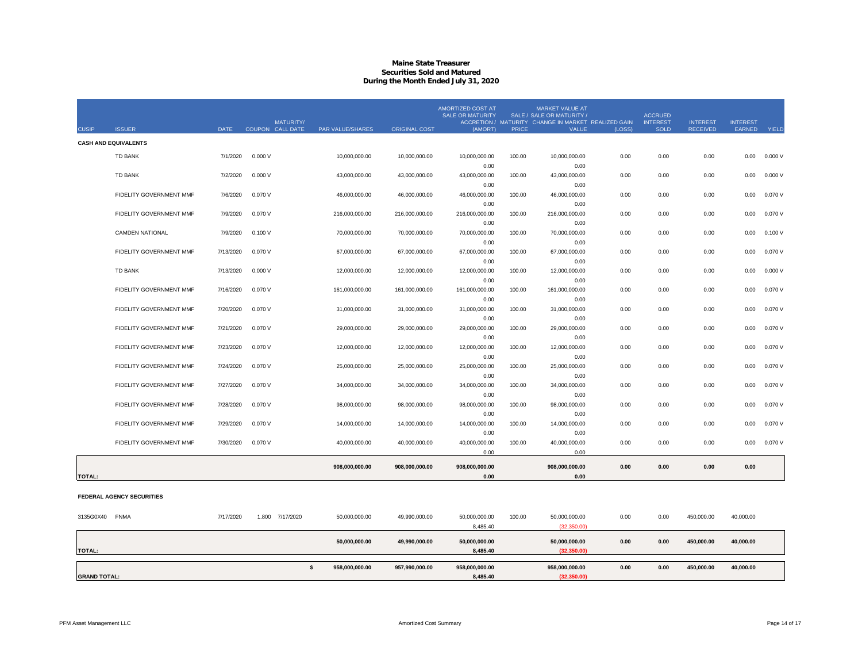## **Maine State TreasurerSecurities Sold and Matured During the Month Ended July 31, 2020**

| <b>CUSIP</b>  | <b>ISSUER</b>               | <b>DATE</b> |         | MATURITY/<br>COUPON CALL DATE<br><b>PAR VALUE/SHARES</b> | <b>ORIGINAL COST</b> | <b>AMORTIZED COST AT</b><br><b>SALE OR MATURITY</b><br>(AMORT) | <b>PRICE</b> | <b>MARKET VALUE AT</b><br>SALE / SALE OR MATURITY /<br>ACCRETION / MATURITY CHANGE IN MARKET REALIZED GAIN<br><b>VALUE</b> | (LOSS) | <b>ACCRUED</b><br><b>INTEREST</b><br><b>SOLD</b> | <b>INTEREST</b><br><b>RECEIVED</b> | <b>INTEREST</b><br>EARNED | <b>YIELD</b> |
|---------------|-----------------------------|-------------|---------|----------------------------------------------------------|----------------------|----------------------------------------------------------------|--------------|----------------------------------------------------------------------------------------------------------------------------|--------|--------------------------------------------------|------------------------------------|---------------------------|--------------|
|               | <b>CASH AND EQUIVALENTS</b> |             |         |                                                          |                      |                                                                |              |                                                                                                                            |        |                                                  |                                    |                           |              |
|               | <b>TD BANK</b>              | 7/1/2020    | 0.000V  | 10,000,000.00                                            | 10,000,000.00        | 10,000,000.00                                                  | 100.00       | 10,000,000.00                                                                                                              | 0.00   | 0.00                                             | 0.00                               | 0.00                      | 0.000V       |
|               |                             |             |         |                                                          |                      | 0.00                                                           |              | 0.00                                                                                                                       |        |                                                  |                                    |                           |              |
|               | <b>TD BANK</b>              | 7/2/2020    | 0.000V  | 43,000,000.00                                            | 43,000,000.00        | 43,000,000.00                                                  | 100.00       | 43,000,000.00                                                                                                              | 0.00   | 0.00                                             | 0.00                               | 0.00                      | 0.000V       |
|               |                             |             |         |                                                          |                      | 0.00                                                           |              | 0.00                                                                                                                       |        |                                                  |                                    |                           |              |
|               | FIDELITY GOVERNMENT MMF     | 7/6/2020    | 0.070 V | 46.000.000.00                                            | 46.000.000.00        | 46.000.000.00                                                  | 100.00       | 46.000.000.00                                                                                                              | 0.00   | 0.00                                             | 0.00                               | 0.00                      | 0.070V       |
|               |                             |             |         |                                                          |                      | 0.00                                                           |              | 0.00                                                                                                                       |        |                                                  |                                    |                           |              |
|               | FIDELITY GOVERNMENT MMF     | 7/9/2020    | 0.070V  | 216,000,000.00                                           | 216,000,000.00       | 216,000,000.00                                                 | 100.00       | 216,000,000.00                                                                                                             | 0.00   | 0.00                                             | 0.00                               | 0.00                      | 0.070V       |
|               |                             |             |         |                                                          |                      | 0.00                                                           |              | 0.00                                                                                                                       |        |                                                  |                                    |                           |              |
|               | <b>CAMDEN NATIONAL</b>      | 7/9/2020    | 0.100V  | 70,000,000.00                                            | 70,000,000.00        | 70,000,000.00                                                  | 100.00       | 70,000,000.00                                                                                                              | 0.00   | 0.00                                             | 0.00                               | 0.00                      | 0.100V       |
|               |                             |             |         |                                                          |                      | 0.00                                                           |              | 0.00                                                                                                                       |        |                                                  |                                    |                           |              |
|               | FIDELITY GOVERNMENT MMF     | 7/13/2020   | 0.070 V | 67.000.000.00                                            | 67,000,000.00        | 67,000,000.00                                                  | 100.00       | 67,000,000.00                                                                                                              | 0.00   | 0.00                                             | 0.00                               | 0.00                      | 0.070V       |
|               |                             |             |         |                                                          |                      | 0.00                                                           |              | 0.00                                                                                                                       |        |                                                  |                                    |                           |              |
|               | <b>TD BANK</b>              | 7/13/2020   | 0.000V  | 12,000,000.00                                            | 12,000,000.00        | 12,000,000.00                                                  | 100.00       | 12,000,000.00                                                                                                              | 0.00   | 0.00                                             | 0.00                               | 0.00                      | 0.000V       |
|               |                             |             |         |                                                          |                      | 0.00                                                           |              | 0.00                                                                                                                       |        |                                                  |                                    |                           |              |
|               | FIDELITY GOVERNMENT MMF     | 7/16/2020   | 0.070 V | 161,000,000.00                                           | 161,000,000.00       | 161,000,000.00                                                 | 100.00       | 161,000,000.00                                                                                                             | 0.00   | 0.00                                             | 0.00                               | 0.00                      | 0.070V       |
|               |                             |             |         |                                                          |                      | 0.00                                                           |              | 0.00                                                                                                                       |        |                                                  |                                    |                           |              |
|               | FIDELITY GOVERNMENT MMF     | 7/20/2020   | 0.070V  | 31.000.000.00                                            | 31,000,000.00        | 31,000,000.00                                                  | 100.00       | 31,000,000.00                                                                                                              | 0.00   | 0.00                                             | 0.00                               | 0.00                      | 0.070 V      |
|               |                             |             |         |                                                          |                      | 0.00                                                           |              | 0.00                                                                                                                       |        |                                                  |                                    |                           |              |
|               | FIDELITY GOVERNMENT MMF     | 7/21/2020   | 0.070 V | 29,000,000.00                                            | 29,000,000.00        | 29,000,000.00                                                  | 100.00       | 29,000,000.00                                                                                                              | 0.00   | 0.00                                             | 0.00                               | 0.00                      | 0.070V       |
|               |                             |             |         |                                                          |                      | 0.00                                                           |              | 0.00                                                                                                                       |        |                                                  |                                    |                           |              |
|               | FIDELITY GOVERNMENT MMF     | 7/23/2020   | 0.070 V | 12.000.000.00                                            | 12.000.000.00        | 12,000,000.00                                                  | 100.00       | 12,000,000.00                                                                                                              | 0.00   | 0.00                                             | 0.00                               | 0.00                      | 0.070V       |
|               |                             |             |         |                                                          |                      | 0.00                                                           |              | 0.00                                                                                                                       |        |                                                  |                                    |                           |              |
|               | FIDELITY GOVERNMENT MMF     | 7/24/2020   | 0.070 V | 25,000,000.00                                            | 25,000,000.00        | 25,000,000.00                                                  | 100.00       | 25,000,000.00                                                                                                              | 0.00   | 0.00                                             | 0.00                               | 0.00                      | 0.070 V      |
|               |                             |             |         |                                                          |                      | 0.00                                                           |              | 0.00                                                                                                                       |        |                                                  |                                    |                           |              |
|               | FIDELITY GOVERNMENT MMF     | 7/27/2020   | 0.070 V | 34,000,000.00                                            | 34,000,000.00        | 34,000,000.00                                                  | 100.00       | 34,000,000.00                                                                                                              | 0.00   | 0.00                                             | 0.00                               | 0.00                      | 0.070V       |
|               |                             |             |         |                                                          |                      | 0.00                                                           |              | 0.00                                                                                                                       | 0.00   | 0.00                                             | 0.00                               | 0.00                      |              |
|               | FIDELITY GOVERNMENT MMF     | 7/28/2020   | 0.070 V | 98,000,000.00                                            | 98,000,000.00        | 98,000,000.00<br>0.00                                          | 100.00       | 98,000,000.00<br>0.00                                                                                                      |        |                                                  |                                    |                           | 0.070V       |
|               | FIDELITY GOVERNMENT MMF     | 7/29/2020   | 0.070 V | 14,000,000.00                                            | 14,000,000.00        | 14,000,000.00                                                  | 100.00       | 14,000,000.00                                                                                                              | 0.00   | 0.00                                             | 0.00                               | 0.00                      | 0.070V       |
|               |                             |             |         |                                                          |                      | 0.00                                                           |              | 0.00                                                                                                                       |        |                                                  |                                    |                           |              |
|               | FIDELITY GOVERNMENT MMF     | 7/30/2020   | 0.070 V | 40,000,000.00                                            | 40,000,000.00        | 40,000,000.00                                                  | 100.00       | 40,000,000.00                                                                                                              | 0.00   | 0.00                                             | 0.00                               | 0.00                      | 0.070 V      |
|               |                             |             |         |                                                          |                      | 0.00                                                           |              | 0.00                                                                                                                       |        |                                                  |                                    |                           |              |
|               |                             |             |         |                                                          |                      |                                                                |              |                                                                                                                            |        |                                                  |                                    |                           |              |
|               |                             |             |         | 908.000.000.00                                           | 908,000,000.00       | 908,000,000.00                                                 |              | 908,000,000.00                                                                                                             | 0.00   | 0.00                                             | 0.00                               | 0.00                      |              |
| <b>TOTAL:</b> |                             |             |         |                                                          |                      | 0.00                                                           |              | 0.00                                                                                                                       |        |                                                  |                                    |                           |              |
|               |                             |             |         |                                                          |                      |                                                                |              |                                                                                                                            |        |                                                  |                                    |                           |              |

#### **FEDERAL AGENCY SECURITIES**

| <b>FNMA</b><br>3135G0X40 | 7/17/2020 | 7/17/2020<br>1.800 | 50,000,000.00  | 49,990,000.00  | 50,000,000.00<br>8,485.40 | 100.00<br>50,000,000.00<br>(32,350.00) | 0.00 | 0.00 | 450,000.00 | 40,000.00 |
|--------------------------|-----------|--------------------|----------------|----------------|---------------------------|----------------------------------------|------|------|------------|-----------|
| <b>TOTAL:</b>            |           |                    | 50,000,000.00  | 49,990,000.00  | 50,000,000.00<br>8,485.40 | 50,000,000.00<br>(32,350.00)           | 0.00 | 0.00 | 450,000.00 | 40,000.00 |
|                          |           |                    |                |                |                           |                                        |      |      |            |           |
|                          |           |                    | 958,000,000.00 | 957,990,000.00 | 958,000,000.00            | 958,000,000.00                         | 0.00 | 0.00 | 450.000.00 | 40,000.00 |
| <b>GRAND TOTAL:</b>      |           |                    |                |                | 8,485.40                  | (32,350.00)                            |      |      |            |           |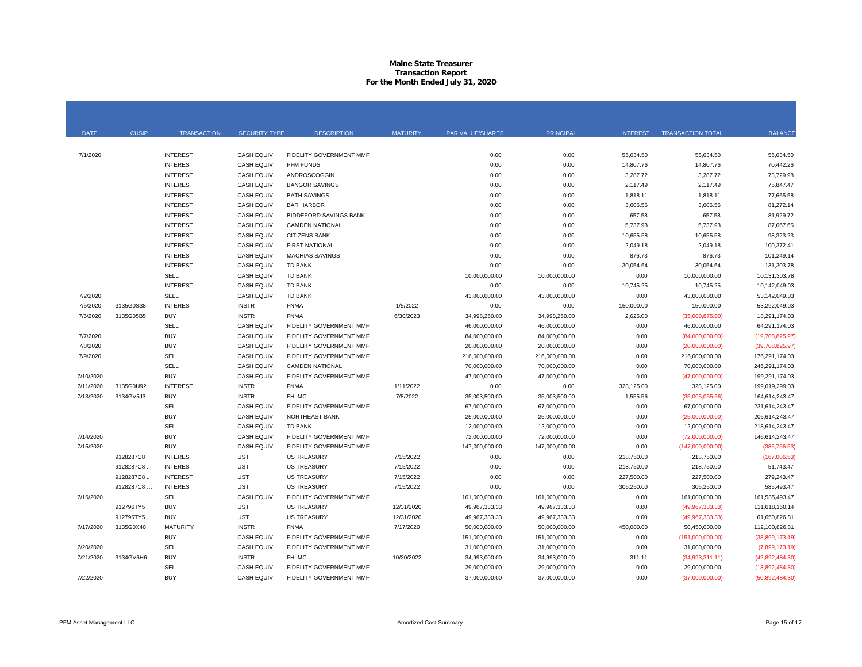### **Maine State Treasurer Transaction Report For the Month Ended July 31, 2020**

| <b>DATE</b> | <b>CUSIP</b> | <b>TRANSACTION</b> | <b>SECURITY TYPE</b> | <b>DESCRIPTION</b>             | <b>MATURITY</b> | PAR VALUE/SHARES | PRINCIPAL      | <b>INTEREST</b> | <b>TRANSACTION TOTAL</b> | <b>BALANCE</b>    |
|-------------|--------------|--------------------|----------------------|--------------------------------|-----------------|------------------|----------------|-----------------|--------------------------|-------------------|
|             |              |                    |                      |                                |                 |                  |                |                 |                          |                   |
| 7/1/2020    |              | <b>INTEREST</b>    | <b>CASH EQUIV</b>    | FIDELITY GOVERNMENT MMF        |                 | 0.00             | 0.00           | 55,634.50       | 55,634.50                | 55,634.50         |
|             |              | <b>INTEREST</b>    | <b>CASH EQUIV</b>    | <b>PFM FUNDS</b>               |                 | 0.00             | 0.00           | 14,807.76       | 14,807.76                | 70,442.26         |
|             |              | <b>INTEREST</b>    | <b>CASH EQUIV</b>    | ANDROSCOGGIN                   |                 | 0.00             | 0.00           | 3,287.72        | 3,287.72                 | 73,729.98         |
|             |              | <b>INTEREST</b>    | <b>CASH EQUIV</b>    | <b>BANGOR SAVINGS</b>          |                 | 0.00             | 0.00           | 2,117.49        | 2,117.49                 | 75,847.47         |
|             |              | <b>INTEREST</b>    | <b>CASH EQUIV</b>    | <b>BATH SAVINGS</b>            |                 | 0.00             | 0.00           | 1,818.11        | 1,818.11                 | 77,665.58         |
|             |              | <b>INTEREST</b>    | <b>CASH EQUIV</b>    | <b>BAR HARBOR</b>              |                 | 0.00             | 0.00           | 3,606.56        | 3,606.56                 | 81,272.14         |
|             |              | <b>INTEREST</b>    | <b>CASH EQUIV</b>    | <b>BIDDEFORD SAVINGS BANK</b>  |                 | 0.00             | 0.00           | 657.58          | 657.58                   | 81,929.72         |
|             |              | <b>INTEREST</b>    | <b>CASH EQUIV</b>    | <b>CAMDEN NATIONAL</b>         |                 | 0.00             | 0.00           | 5,737.93        | 5,737.93                 | 87,667.65         |
|             |              | <b>INTEREST</b>    | <b>CASH EQUIV</b>    | <b>CITIZENS BANK</b>           |                 | 0.00             | 0.00           | 10,655.58       | 10,655.58                | 98,323.23         |
|             |              | <b>INTEREST</b>    | <b>CASH EQUIV</b>    | <b>FIRST NATIONAL</b>          |                 | 0.00             | 0.00           | 2,049.18        | 2,049.18                 | 100,372.41        |
|             |              | <b>INTEREST</b>    | <b>CASH EQUIV</b>    | <b>MACHIAS SAVINGS</b>         |                 | 0.00             | 0.00           | 876.73          | 876.73                   | 101,249.14        |
|             |              | <b>INTEREST</b>    | <b>CASH EQUIV</b>    | <b>TD BANK</b>                 |                 | 0.00             | 0.00           | 30,054.64       | 30,054.64                | 131,303.78        |
|             |              | SELL               | <b>CASH EQUIV</b>    | <b>TD BANK</b>                 |                 | 10,000,000.00    | 10,000,000.00  | 0.00            | 10,000,000.00            | 10,131,303.78     |
|             |              | <b>INTEREST</b>    | <b>CASH EQUIV</b>    | <b>TD BANK</b>                 |                 | 0.00             | 0.00           | 10,745.25       | 10,745.25                | 10,142,049.03     |
| 7/2/2020    |              | <b>SELL</b>        | <b>CASH EQUIV</b>    | <b>TD BANK</b>                 |                 | 43,000,000.00    | 43,000,000.00  | 0.00            | 43,000,000.00            | 53,142,049.03     |
| 7/5/2020    | 3135G0S38    | <b>INTEREST</b>    | <b>INSTR</b>         | <b>FNMA</b>                    | 1/5/2022        | 0.00             | 0.00           | 150,000.00      | 150,000.00               | 53,292,049.03     |
| 7/6/2020    | 3135G05B5    | <b>BUY</b>         | <b>INSTR</b>         | <b>FNMA</b>                    | 6/30/2023       | 34,998,250.00    | 34,998,250.00  | 2,625.00        | (35,000,875.00)          | 18,291,174.03     |
|             |              | SELL               | <b>CASH EQUIV</b>    | FIDELITY GOVERNMENT MMF        |                 | 46,000,000.00    | 46,000,000.00  | 0.00            | 46,000,000.00            | 64,291,174.03     |
| 7/7/2020    |              | <b>BUY</b>         | <b>CASH EQUIV</b>    | FIDELITY GOVERNMENT MMF        |                 | 84,000,000.00    | 84,000,000.00  | 0.00            | (84,000,000.00)          | (19,708,825.97)   |
| 7/8/2020    |              | <b>BUY</b>         | <b>CASH EQUIV</b>    | <b>FIDELITY GOVERNMENT MMF</b> |                 | 20,000,000.00    | 20,000,000.00  | 0.00            | (20,000,000.00)          | (39,708,825.97)   |
| 7/9/2020    |              | SELL               | <b>CASH EQUIV</b>    | FIDELITY GOVERNMENT MMF        |                 | 216,000,000.00   | 216,000,000.00 | 0.00            | 216,000,000.00           | 176,291,174.03    |
|             |              | <b>SELL</b>        | <b>CASH EQUIV</b>    | <b>CAMDEN NATIONAL</b>         |                 | 70,000,000.00    | 70,000,000.00  | 0.00            | 70,000,000.00            | 246,291,174.03    |
| 7/10/2020   |              | <b>BUY</b>         | <b>CASH EQUIV</b>    | <b>FIDELITY GOVERNMENT MMF</b> |                 | 47,000,000.00    | 47,000,000.00  | 0.00            | (47,000,000.00)          | 199,291,174.03    |
| 7/11/2020   | 3135G0U92    | <b>INTEREST</b>    | <b>INSTR</b>         | <b>FNMA</b>                    | 1/11/2022       | 0.00             | 0.00           | 328,125.00      | 328,125.00               | 199,619,299.03    |
| 7/13/2020   | 3134GV5J3    | <b>BUY</b>         | <b>INSTR</b>         | <b>FHLMC</b>                   | 7/8/2022        | 35,003,500.00    | 35,003,500.00  | 1,555.56        | (35,005,055.56)          | 164,614,243.47    |
|             |              | SELL               | <b>CASH EQUIV</b>    | FIDELITY GOVERNMENT MMF        |                 | 67,000,000.00    | 67,000,000.00  | 0.00            | 67,000,000.00            | 231,614,243.47    |
|             |              | <b>BUY</b>         | <b>CASH EQUIV</b>    | NORTHEAST BANK                 |                 | 25,000,000.00    | 25,000,000.00  | 0.00            | (25,000,000.00)          | 206,614,243.47    |
|             |              | <b>SELL</b>        | <b>CASH EQUIV</b>    | <b>TD BANK</b>                 |                 | 12,000,000.00    | 12,000,000.00  | 0.00            | 12,000,000.00            | 218,614,243.47    |
| 7/14/2020   |              | <b>BUY</b>         | <b>CASH EQUIV</b>    | FIDELITY GOVERNMENT MMF        |                 | 72,000,000.00    | 72,000,000.00  | 0.00            | (72,000,000.00)          | 146,614,243.47    |
| 7/15/2020   |              | <b>BUY</b>         | <b>CASH EQUIV</b>    | FIDELITY GOVERNMENT MMF        |                 | 147,000,000.00   | 147,000,000.00 | 0.00            | (147,000,000.00)         | (385, 756.53)     |
|             | 9128287C8    | <b>INTEREST</b>    | <b>UST</b>           | <b>US TREASURY</b>             | 7/15/2022       | 0.00             | 0.00           | 218,750.00      | 218,750.00               | (167,006.53)      |
|             | 9128287C8    | <b>INTEREST</b>    | <b>UST</b>           | <b>US TREASURY</b>             | 7/15/2022       | 0.00             | 0.00           | 218,750.00      | 218,750.00               | 51,743.47         |
|             | 9128287C8.   | <b>INTEREST</b>    | <b>UST</b>           | <b>US TREASURY</b>             | 7/15/2022       | 0.00             | 0.00           | 227,500.00      | 227,500.00               | 279,243.47        |
|             | 9128287C8    | <b>INTEREST</b>    | <b>UST</b>           | <b>US TREASURY</b>             | 7/15/2022       | 0.00             | 0.00           | 306,250.00      | 306,250.00               | 585,493.47        |
| 7/16/2020   |              | <b>SELL</b>        | <b>CASH EQUIV</b>    | FIDELITY GOVERNMENT MMF        |                 | 161,000,000.00   | 161,000,000.00 | 0.00            | 161,000,000.00           | 161,585,493.47    |
|             | 912796TY5    | <b>BUY</b>         | <b>UST</b>           | <b>US TREASURY</b>             | 12/31/2020      | 49,967,333.33    | 49,967,333.33  | 0.00            | (49, 967, 333.33)        | 111,618,160.14    |
|             | 912796TY5.   | <b>BUY</b>         | <b>UST</b>           | <b>US TREASURY</b>             | 12/31/2020      | 49,967,333.33    | 49,967,333.33  | 0.00            | (49, 967, 333.33)        | 61,650,826.81     |
| 7/17/2020   | 3135G0X40    | <b>MATURITY</b>    | <b>INSTR</b>         | <b>FNMA</b>                    | 7/17/2020       | 50,000,000.00    | 50,000,000.00  | 450,000.00      | 50,450,000.00            | 112,100,826.81    |
|             |              | <b>BUY</b>         | <b>CASH EQUIV</b>    | FIDELITY GOVERNMENT MMF        |                 | 151,000,000.00   | 151,000,000.00 | 0.00            | (151,000,000.00)         | (38,899,173.19)   |
| 7/20/2020   |              | SELL               | <b>CASH EQUIV</b>    | <b>FIDELITY GOVERNMENT MMF</b> |                 | 31,000,000.00    | 31,000,000.00  | 0.00            | 31,000,000.00            | (7,899,173.19)    |
| 7/21/2020   | 3134GV6H6    | <b>BUY</b>         | <b>INSTR</b>         | <b>FHLMC</b>                   | 10/20/2022      | 34,993,000.00    | 34,993,000.00  | 311.11          | (34,993,311.11)          | (42,892,484.30)   |
|             |              | SELL               | <b>CASH EQUIV</b>    | FIDELITY GOVERNMENT MMF        |                 | 29,000,000.00    | 29,000,000.00  | 0.00            | 29,000,000.00            | (13,892,484.30)   |
| 7/22/2020   |              | <b>BUY</b>         | <b>CASH EQUIV</b>    | FIDELITY GOVERNMENT MMF        |                 | 37,000,000.00    | 37,000,000.00  | 0.00            | (37,000,000.00)          | (50, 892, 484.30) |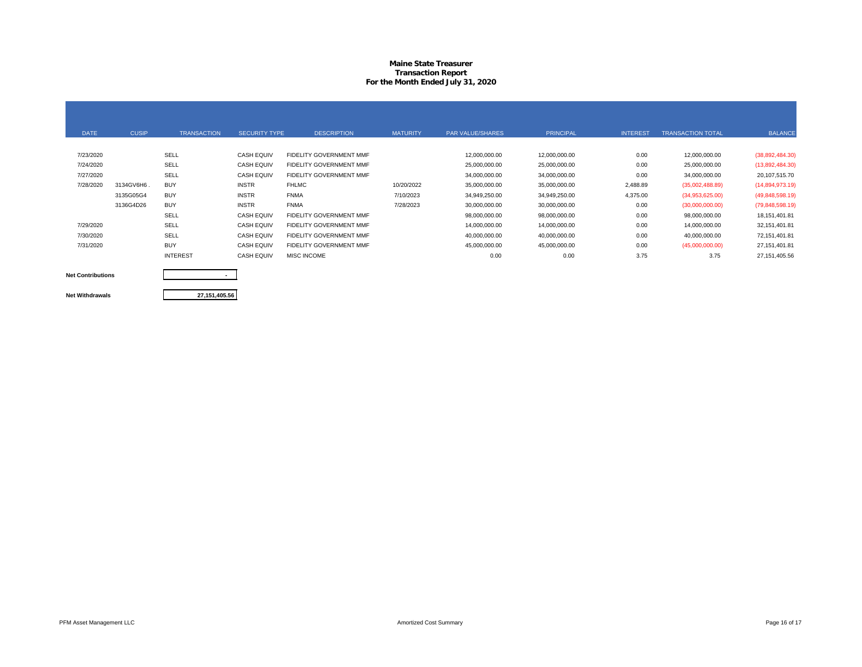## **Maine State Treasurer Transaction Report For the Month Ended July 31, 2020**

| <b>DATE</b> | <b>CUSIP</b> | <b>TRANSACTION</b> | <b>SECURITY TYPE</b> | <b>DESCRIPTION</b>      | <b>MATURITY</b> | <b>PAR VALUE/SHARES</b> | <b>PRINCIPAL</b> | <b>INTEREST</b> | <b>TRANSACTION TOTAL</b> | <b>BALANCE</b>  |
|-------------|--------------|--------------------|----------------------|-------------------------|-----------------|-------------------------|------------------|-----------------|--------------------------|-----------------|
|             |              |                    |                      |                         |                 |                         |                  |                 |                          |                 |
| 7/23/2020   |              | SELL               | <b>CASH EQUIV</b>    | FIDELITY GOVERNMENT MMF |                 | 12,000,000.00           | 12,000,000.00    | 0.00            | 12,000,000.00            | (38,892,484.30) |
| 7/24/2020   |              | SELL               | <b>CASH EQUIV</b>    | FIDELITY GOVERNMENT MMF |                 | 25,000,000.00           | 25,000,000.00    | 0.00            | 25,000,000.00            | (13,892,484.30) |
| 7/27/2020   |              | SELL               | <b>CASH EQUIV</b>    | FIDELITY GOVERNMENT MMF |                 | 34,000,000.00           | 34,000,000.00    | 0.00            | 34,000,000.00            | 20,107,515.70   |
| 7/28/2020   | 3134GV6H6.   | <b>BUY</b>         | <b>INSTR</b>         | <b>FHLMC</b>            | 10/20/2022      | 35,000,000.00           | 35,000,000.00    | 2,488.89        | (35,002,488.89)          | (14,894,973.19) |
|             | 3135G05G4    | <b>BUY</b>         | <b>INSTR</b>         | <b>FNMA</b>             | 7/10/2023       | 34,949,250.00           | 34,949,250.00    | 4,375.00        | (34,953,625.00)          | (49,848,598.19) |
|             | 3136G4D26    | <b>BUY</b>         | <b>INSTR</b>         | <b>FNMA</b>             | 7/28/2023       | 30,000,000.00           | 30,000,000.00    | 0.00            | (30,000,000.00)          | (79,848,598.19) |
|             |              | SELL               | <b>CASH EQUIV</b>    | FIDELITY GOVERNMENT MMF |                 | 98,000,000.00           | 98,000,000.00    | 0.00            | 98,000,000.00            | 18, 151, 401.81 |
| 7/29/2020   |              | SELL               | <b>CASH EQUIV</b>    | FIDELITY GOVERNMENT MMF |                 | 14,000,000.00           | 14,000,000.00    | 0.00            | 14,000,000.00            | 32, 151, 401.81 |
| 7/30/2020   |              | SELL               | <b>CASH EQUIV</b>    | FIDELITY GOVERNMENT MMF |                 | 40,000,000.00           | 40,000,000.00    | 0.00            | 40,000,000.00            | 72,151,401.81   |
| 7/31/2020   |              | <b>BUY</b>         | <b>CASH EQUIV</b>    | FIDELITY GOVERNMENT MMF |                 | 45,000,000.00           | 45,000,000.00    | 0.00            | (45,000,000.00)          | 27, 151, 401.81 |
|             |              | <b>INTEREST</b>    | <b>CASH EQUIV</b>    | <b>MISC INCOME</b>      |                 | 0.00                    | 0.00             | 3.75            | 3.75                     | 27, 151, 405.56 |
|             |              |                    |                      |                         |                 |                         |                  |                 |                          |                 |

**Net Contributions Net Withdrawals**

**27,151,405.56**

**-**